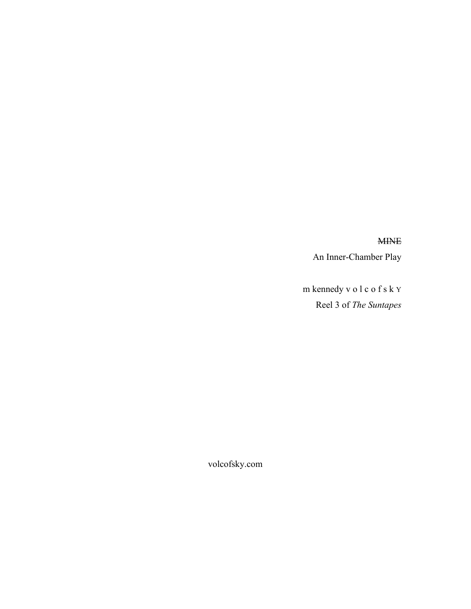# MINE

An Inner-Chamber Play

m kennedy v o l c o f s k Y Reel 3 of *The Suntapes*

volcofsky.com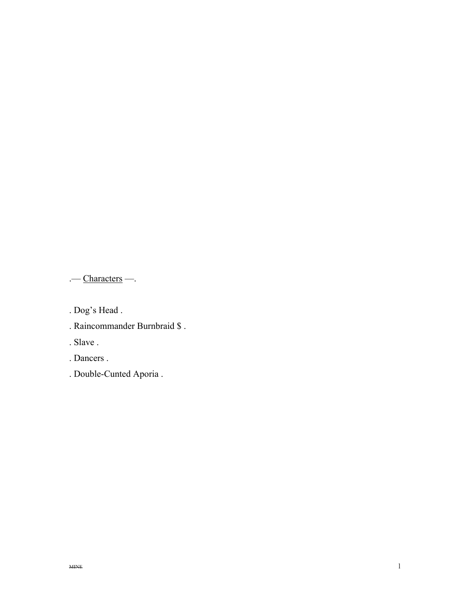.— Characters —.

. Dog's Head .

. Raincommander Burnbraid \$ .

. Slave .

. Dancers .

. Double-Cunted Aporia .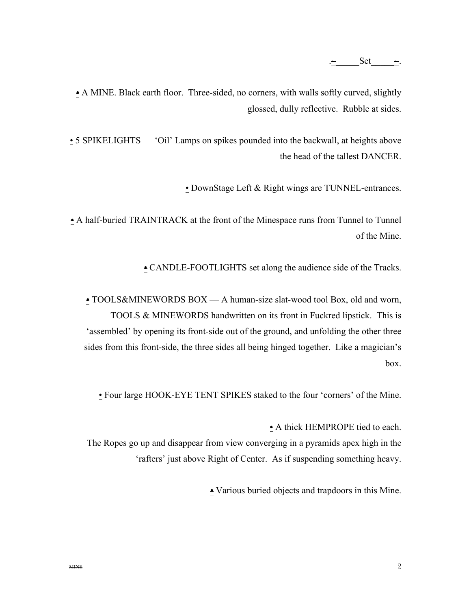$-\underline{\text{Set}}$   $\underline{\text{Set}}$   $\underline{\text{Set}}$ 

• A MINE. Black earth floor. Three-sided, no corners, with walls softly curved, slightly glossed, dully reflective. Rubble at sides.

• 5 SPIKELIGHTS — 'Oil' Lamps on spikes pounded into the backwall, at heights above the head of the tallest DANCER.

• DownStage Left & Right wings are TUNNEL-entrances.

• A half-buried TRAINTRACK at the front of the Minespace runs from Tunnel to Tunnel of the Mine.

• CANDLE-FOOTLIGHTS set along the audience side of the Tracks.

• TOOLS&MINEWORDS BOX — A human-size slat-wood tool Box, old and worn, TOOLS & MINEWORDS handwritten on its front in Fuckred lipstick. This is 'assembled' by opening its front-side out of the ground, and unfolding the other three sides from this front-side, the three sides all being hinged together. Like a magician's box.

• Four large HOOK-EYE TENT SPIKES staked to the four 'corners' of the Mine.

• A thick HEMPROPE tied to each. The Ropes go up and disappear from view converging in a pyramids apex high in the 'rafters' just above Right of Center. As if suspending something heavy.

• Various buried objects and trapdoors in this Mine.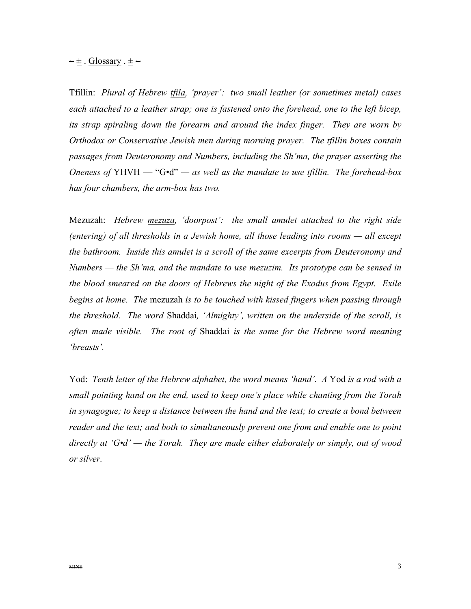$\sim \pm$ . Glossary .  $\pm \sim$ 

Tfillin: *Plural of Hebrew tfila, 'prayer': two small leather (or sometimes metal) cases each attached to a leather strap; one is fastened onto the forehead, one to the left bicep, its strap spiraling down the forearm and around the index finger. They are worn by Orthodox or Conservative Jewish men during morning prayer. The tfillin boxes contain passages from Deuteronomy and Numbers, including the Sh'ma, the prayer asserting the Oneness of* YHVH — "G•d" *— as well as the mandate to use tfillin. The forehead-box has four chambers, the arm-box has two.*

Mezuzah: *Hebrew mezuza, 'doorpost': the small amulet attached to the right side (entering) of all thresholds in a Jewish home, all those leading into rooms — all except the bathroom. Inside this amulet is a scroll of the same excerpts from Deuteronomy and Numbers — the Sh'ma, and the mandate to use mezuzim. Its prototype can be sensed in the blood smeared on the doors of Hebrews the night of the Exodus from Egypt. Exile begins at home. The* mezuzah *is to be touched with kissed fingers when passing through the threshold. The word* Shaddai*, 'Almighty', written on the underside of the scroll, is often made visible. The root of* Shaddai *is the same for the Hebrew word meaning 'breasts'.* 

Yod: *Tenth letter of the Hebrew alphabet, the word means 'hand'. A* Yod *is a rod with a small pointing hand on the end, used to keep one's place while chanting from the Torah in synagogue; to keep a distance between the hand and the text; to create a bond between reader and the text; and both to simultaneously prevent one from and enable one to point directly at 'G•d' — the Torah. They are made either elaborately or simply, out of wood or silver.*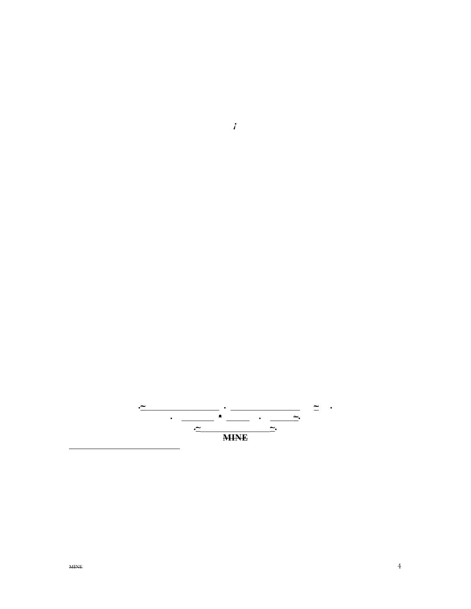

 $\vec{i}$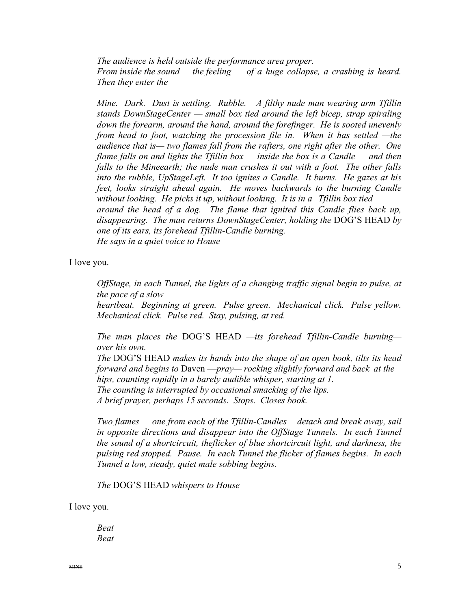*The audience is held outside the performance area proper. From inside the sound — the feeling — of a huge collapse, a crashing is heard. Then they enter the* 

*Mine. Dark. Dust is settling. Rubble. A filthy nude man wearing arm Tfillin stands DownStageCenter — small box tied around the left bicep, strap spiraling down the forearm, around the hand, around the forefinger. He is sooted unevenly from head to foot, watching the procession file in. When it has settled —the audience that is— two flames fall from the rafters, one right after the other. One flame falls on and lights the Tfillin box — inside the box is a Candle — and then falls to the Mineearth; the nude man crushes it out with a foot. The other falls into the rubble, UpStageLeft. It too ignites a Candle. It burns. He gazes at his feet, looks straight ahead again. He moves backwards to the burning Candle without looking. He picks it up, without looking. It is in a Tfillin box tied around the head of a dog. The flame that ignited this Candle flies back up, disappearing. The man returns DownStageCenter, holding the DOG'S HEAD by one of its ears, its forehead Tfillin-Candle burning. He says in a quiet voice to House*

I love you.

*OffStage, in each Tunnel, the lights of a changing traffic signal begin to pulse, at the pace of a slow heartbeat. Beginning at green. Pulse green. Mechanical click. Pulse yellow.* 

*The man places the* DOG'S HEAD *—its forehead Tfillin-Candle burning over his own.*

*The* DOG'S HEAD *makes its hands into the shape of an open book, tilts its head forward and begins to* Daven —*pray— rocking slightly forward and back at the hips, counting rapidly in a barely audible whisper, starting at 1. The counting is interrupted by occasional smacking of the lips. A brief prayer, perhaps 15 seconds. Stops. Closes book.*

*Two flames — one from each of the Tfillin-Candles— detach and break away, sail in opposite directions and disappear into the OffStage Tunnels. In each Tunnel the sound of a shortcircuit, theflicker of blue shortcircuit light, and darkness, the pulsing red stopped. Pause. In each Tunnel the flicker of flames begins. In each Tunnel a low, steady, quiet male sobbing begins.*

*The* DOG'S HEAD *whispers to House*

*Mechanical click. Pulse red. Stay, pulsing, at red.* 

I love you.

*Beat Beat*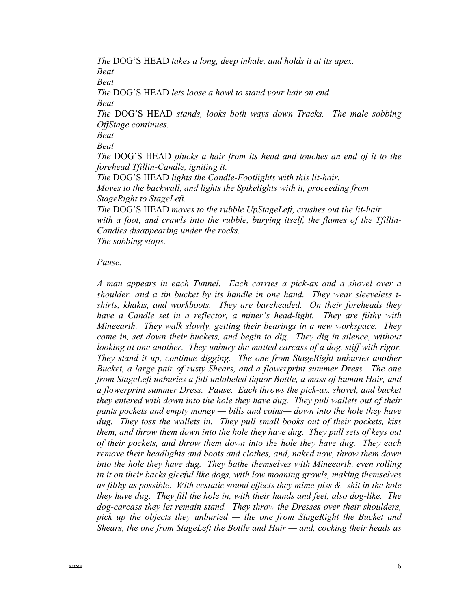*The* DOG'S HEAD *takes a long, deep inhale, and holds it at its apex. Beat Beat The* DOG'S HEAD *lets loose a howl to stand your hair on end. Beat The* DOG'S HEAD *stands, looks both ways down Tracks. The male sobbing OffStage continues. Beat Beat The* DOG'S HEAD *plucks a hair from its head and touches an end of it to the forehead Tfillin-Candle, igniting it. The* DOG'S HEAD *lights the Candle-Footlights with this lit-hair. Moves to the backwall, and lights the Spikelights with it, proceeding from StageRight to StageLeft. The* DOG'S HEAD *moves to the rubble UpStageLeft, crushes out the lit-hair with a foot, and crawls into the rubble, burying itself, the flames of the Tfillin-Candles disappearing under the rocks. The sobbing stops.*

# *Pause.*

*A man appears in each Tunnel. Each carries a pick-ax and a shovel over a shoulder, and a tin bucket by its handle in one hand. They wear sleeveless tshirts, khakis, and workboots. They are bareheaded. On their foreheads they have a Candle set in a reflector, a miner's head-light. They are filthy with Mineearth. They walk slowly, getting their bearings in a new workspace. They come in, set down their buckets, and begin to dig. They dig in silence, without*  looking at one another. They unbury the matted carcass of a dog, stiff with rigor. *They stand it up, continue digging. The one from StageRight unburies another Bucket, a large pair of rusty Shears, and a flowerprint summer Dress. The one from StageLeft unburies a full unlabeled liquor Bottle, a mass of human Hair, and a flowerprint summer Dress. Pause. Each throws the pick-ax, shovel, and bucket they entered with down into the hole they have dug. They pull wallets out of their pants pockets and empty money — bills and coins— down into the hole they have dug. They toss the wallets in. They pull small books out of their pockets, kiss them, and throw them down into the hole they have dug. They pull sets of keys out of their pockets, and throw them down into the hole they have dug. They each remove their headlights and boots and clothes, and, naked now, throw them down into the hole they have dug. They bathe themselves with Mineearth, even rolling in it on their backs gleeful like dogs, with low moaning growls, making themselves as filthy as possible. With ecstatic sound effects they mime-piss & -shit in the hole they have dug. They fill the hole in, with their hands and feet, also dog-like. The dog-carcass they let remain stand. They throw the Dresses over their shoulders, pick up the objects they unburied — the one from StageRight the Bucket and Shears, the one from StageLeft the Bottle and Hair — and, cocking their heads as*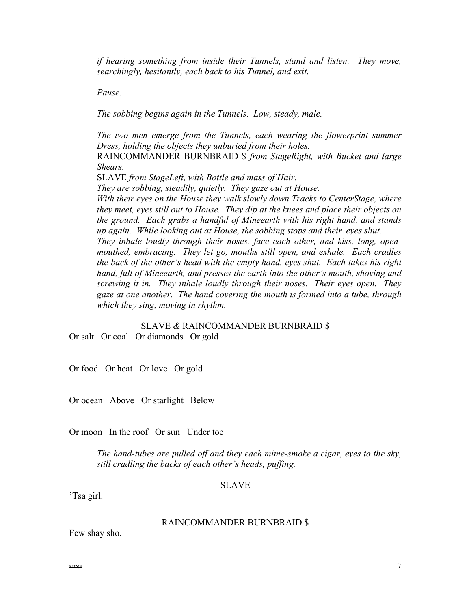*if hearing something from inside their Tunnels, stand and listen. They move, searchingly, hesitantly, each back to his Tunnel, and exit.*

*Pause.*

*The sobbing begins again in the Tunnels. Low, steady, male.*

*The two men emerge from the Tunnels, each wearing the flowerprint summer Dress, holding the objects they unburied from their holes.*

RAINCOMMANDER BURNBRAID \$ *from StageRight, with Bucket and large Shears.* 

SLAVE *from StageLeft, with Bottle and mass of Hair. They are sobbing, steadily, quietly. They gaze out at House. With their eyes on the House they walk slowly down Tracks to CenterStage, where they meet, eyes still out to House. They dip at the knees and place their objects on the ground. Each grabs a handful of Mineearth with his right hand, and stands up again. While looking out at House, the sobbing stops and their eyes shut. They inhale loudly through their noses, face each other, and kiss, long, openmouthed, embracing. They let go, mouths still open, and exhale. Each cradles the back of the other's head with the empty hand, eyes shut. Each takes his right hand, full of Mineearth, and presses the earth into the other's mouth, shoving and screwing it in. They inhale loudly through their noses. Their eyes open. They gaze at one another. The hand covering the mouth is formed into a tube, through which they sing, moving in rhythm.*

SLAVE *&* RAINCOMMANDER BURNBRAID \$ Or salt Or coal Or diamonds Or gold

Or food Or heat Or love Or gold

Or ocean Above Or starlight Below

Or moon In the roof Or sun Under toe

*The hand-tubes are pulled off and they each mime-smoke a cigar, eyes to the sky, still cradling the backs of each other's heads, puffing.*

SLAVE

'Tsa girl.

## RAINCOMMANDER BURNBRAID \$

Few shay sho.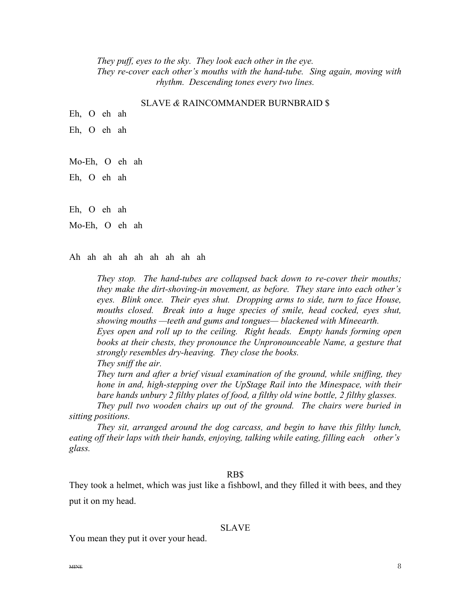*They puff, eyes to the sky. They look each other in the eye. They re-cover each other's mouths with the hand-tube. Sing again, moving with rhythm. Descending tones every two lines.*

## SLAVE *&* RAINCOMMANDER BURNBRAID \$

Eh, O eh ah

Eh, O eh ah

Mo-Eh, O eh ah

Eh, O eh ah

Eh, O eh ah

Mo-Eh, O eh ah

Ah ah ah ah ah ah ah ah ah

*They stop. The hand-tubes are collapsed back down to re-cover their mouths; they make the dirt-shoving-in movement, as before. They stare into each other's eyes. Blink once. Their eyes shut. Dropping arms to side, turn to face House, mouths closed. Break into a huge species of smile, head cocked, eyes shut, showing mouths —teeth and gums and tongues— blackened with Mineearth.*

*Eyes open and roll up to the ceiling. Right heads. Empty hands forming open books at their chests, they pronounce the Unpronounceable Name, a gesture that strongly resembles dry-heaving. They close the books.*

*They sniff the air.*

*They turn and after a brief visual examination of the ground, while sniffing, they hone in and, high-stepping over the UpStage Rail into the Minespace, with their bare hands unbury 2 filthy plates of food, a filthy old wine bottle, 2 filthy glasses.*

*They pull two wooden chairs up out of the ground. The chairs were buried in sitting positions.*

*They sit, arranged around the dog carcass, and begin to have this filthy lunch, eating off their laps with their hands, enjoying, talking while eating, filling each other's glass.*

## RB\$

They took a helmet, which was just like a fishbowl, and they filled it with bees, and they put it on my head.

#### SLAVE

You mean they put it over your head.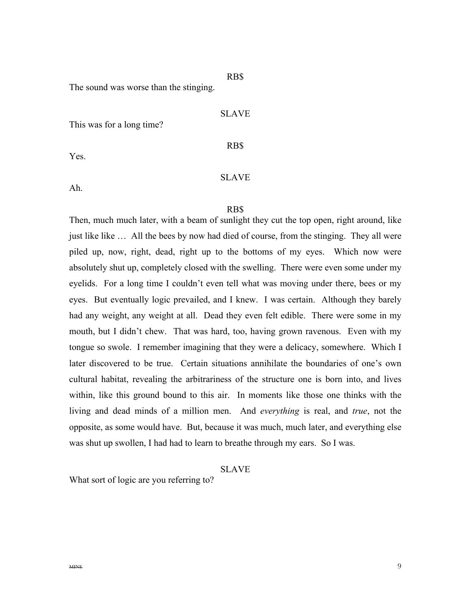RB\$

SLAVE

RB\$

The sound was worse than the stinging.

This was for a long time?

Yes.

SLAVE

Ah.

#### RB\$

Then, much much later, with a beam of sunlight they cut the top open, right around, like just like like … All the bees by now had died of course, from the stinging. They all were piled up, now, right, dead, right up to the bottoms of my eyes. Which now were absolutely shut up, completely closed with the swelling. There were even some under my eyelids. For a long time I couldn't even tell what was moving under there, bees or my eyes. But eventually logic prevailed, and I knew. I was certain. Although they barely had any weight, any weight at all. Dead they even felt edible. There were some in my mouth, but I didn't chew. That was hard, too, having grown ravenous. Even with my tongue so swole. I remember imagining that they were a delicacy, somewhere. Which I later discovered to be true. Certain situations annihilate the boundaries of one's own cultural habitat, revealing the arbitrariness of the structure one is born into, and lives within, like this ground bound to this air. In moments like those one thinks with the living and dead minds of a million men. And *everything* is real, and *true*, not the opposite, as some would have. But, because it was much, much later, and everything else was shut up swollen, I had had to learn to breathe through my ears. So I was.

### SLAVE

What sort of logic are you referring to?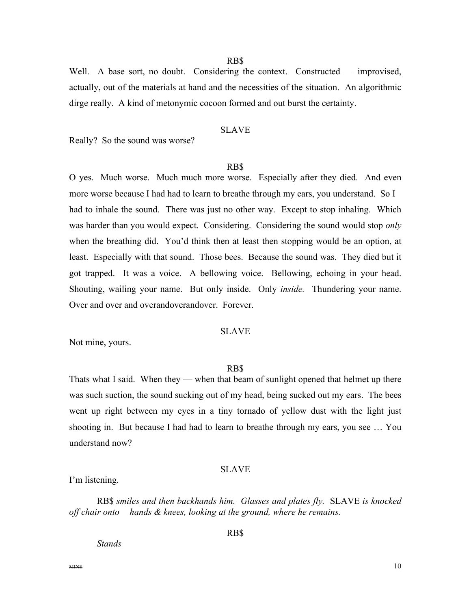#### RB\$

Well. A base sort, no doubt. Considering the context. Constructed — improvised, actually, out of the materials at hand and the necessities of the situation. An algorithmic dirge really. A kind of metonymic cocoon formed and out burst the certainty.

#### SLAVE

Really? So the sound was worse?

#### RB\$

O yes. Much worse. Much much more worse. Especially after they died. And even more worse because I had had to learn to breathe through my ears, you understand. So I had to inhale the sound. There was just no other way. Except to stop inhaling. Which was harder than you would expect. Considering. Considering the sound would stop *only* when the breathing did. You'd think then at least then stopping would be an option, at least. Especially with that sound. Those bees. Because the sound was. They died but it got trapped. It was a voice. A bellowing voice. Bellowing, echoing in your head. Shouting, wailing your name. But only inside. Only *inside.* Thundering your name. Over and over and overandoverandover. Forever.

## SLAVE

Not mine, yours.

# RB\$

Thats what I said. When they — when that beam of sunlight opened that helmet up there was such suction, the sound sucking out of my head, being sucked out my ears. The bees went up right between my eyes in a tiny tornado of yellow dust with the light just shooting in. But because I had had to learn to breathe through my ears, you see … You understand now?

# SLAVE

I'm listening.

RB\$ *smiles and then backhands him. Glasses and plates fly.* SLAVE *is knocked off chair onto hands & knees, looking at the ground, where he remains.*

*Stands*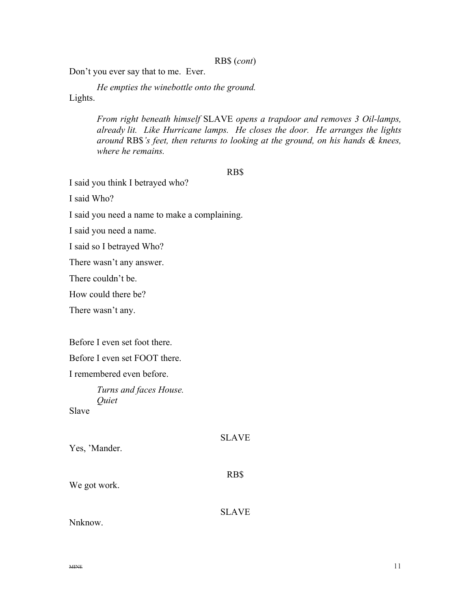Don't you ever say that to me. Ever.

*He empties the winebottle onto the ground.*  Lights.

> *From right beneath himself* SLAVE *opens a trapdoor and removes 3 Oil-lamps, already lit. Like Hurricane lamps. He closes the door. He arranges the lights around* RB\$*'s feet, then returns to looking at the ground, on his hands & knees, where he remains.*

#### RB\$

I said you think I betrayed who?

I said Who?

I said you need a name to make a complaining.

I said you need a name.

I said so I betrayed Who?

There wasn't any answer.

There couldn't be.

How could there be?

There wasn't any.

Before I even set foot there.

Before I even set FOOT there.

I remembered even before.

*Turns and faces House. Quiet*

Slave

| Yes, 'Mander. | <b>SLAVE</b> |
|---------------|--------------|
| We got work.  | RB\$         |
| Nnknow.       | <b>SLAVE</b> |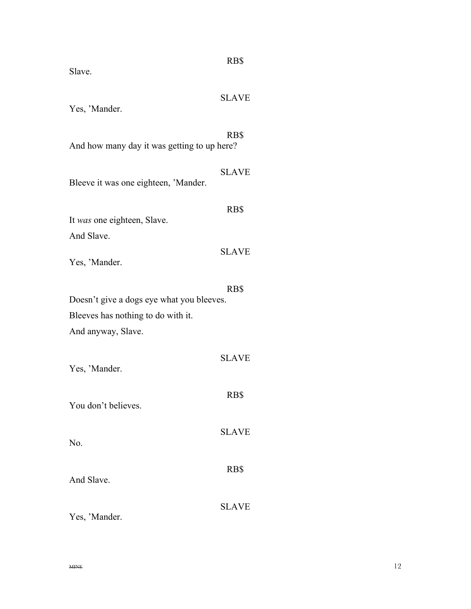| Slave.                                                                                                | RB\$              |
|-------------------------------------------------------------------------------------------------------|-------------------|
| Yes, 'Mander.                                                                                         | <b>SLAVE</b>      |
| And how many day it was getting to up here?                                                           | RB\$              |
| Bleeve it was one eighteen, 'Mander.                                                                  | <b>SLAVE</b>      |
| It was one eighteen, Slave.                                                                           | RB\$              |
| And Slave.<br>Yes, 'Mander.                                                                           | <b>SLAVE</b>      |
| Doesn't give a dogs eye what you bleeves.<br>Bleeves has nothing to do with it.<br>And anyway, Slave. | RB\$              |
|                                                                                                       |                   |
| Yes, 'Mander.                                                                                         | <b>SLAVE</b>      |
| You don't believes.                                                                                   | R <sub>B</sub> \$ |
| No.                                                                                                   | <b>SLAVE</b>      |
| And Slave.                                                                                            | RB\$              |

Yes, 'Mander.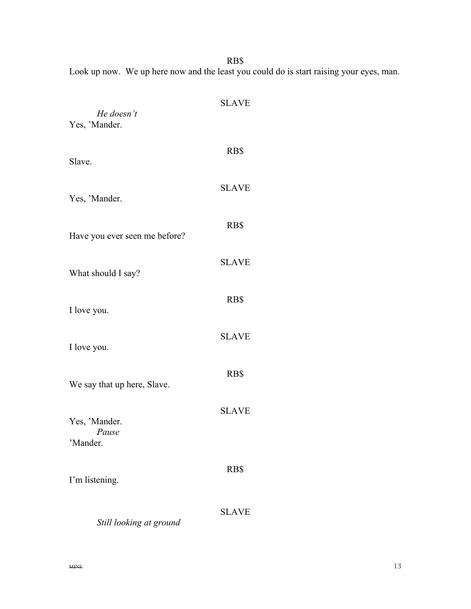RB\$

Look up now. We up here now and the least you could do is start raising your eyes, man.

| He doesn't<br>Yes, 'Mander.        | <b>SLAVE</b> |
|------------------------------------|--------------|
| Slave.                             | RB\$         |
| Yes, 'Mander.                      | <b>SLAVE</b> |
| Have you ever seen me before?      | RB\$         |
| What should I say?                 | <b>SLAVE</b> |
| I love you.                        | RB\$         |
| I love you.                        | <b>SLAVE</b> |
| We say that up here, Slave.        | RB\$         |
| Yes, 'Mander.<br>Pause<br>'Mander. | <b>SLAVE</b> |
| I'm listening.                     | RB\$         |
|                                    | <b>SLAVE</b> |

*Still looking at ground*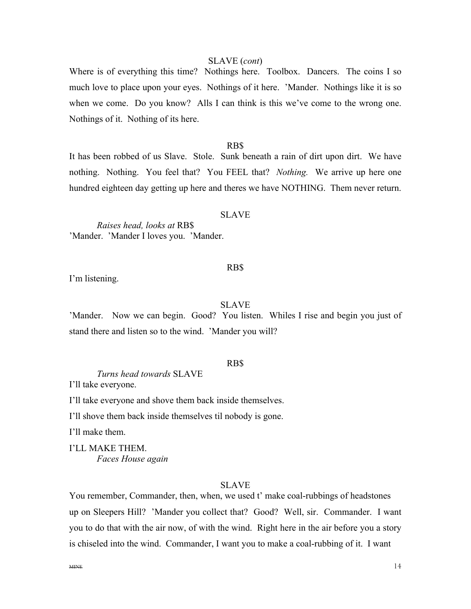# SLAVE (*cont*)

Where is of everything this time? Nothings here. Toolbox. Dancers. The coins I so much love to place upon your eyes. Nothings of it here. 'Mander. Nothings like it is so when we come. Do you know? Alls I can think is this we've come to the wrong one. Nothings of it. Nothing of its here.

#### RB\$

It has been robbed of us Slave. Stole. Sunk beneath a rain of dirt upon dirt. We have nothing. Nothing. You feel that? You FEEL that? *Nothing.* We arrive up here one hundred eighteen day getting up here and theres we have NOTHING. Them never return.

## SLAVE

*Raises head, looks at* RB\$ 'Mander. 'Mander I loves you. 'Mander.

## RB\$

I'm listening.

## SLAVE

'Mander. Now we can begin. Good? You listen. Whiles I rise and begin you just of stand there and listen so to the wind. 'Mander you will?

#### RB\$

*Turns head towards* SLAVE

I'll take everyone.

I'll take everyone and shove them back inside themselves.

I'll shove them back inside themselves til nobody is gone.

I'll make them.

I'LL MAKE THEM. *Faces House again*

#### SLAVE

You remember, Commander, then, when, we used t' make coal-rubbings of headstones up on Sleepers Hill? 'Mander you collect that? Good? Well, sir. Commander. I want you to do that with the air now, of with the wind. Right here in the air before you a story is chiseled into the wind. Commander, I want you to make a coal-rubbing of it. I want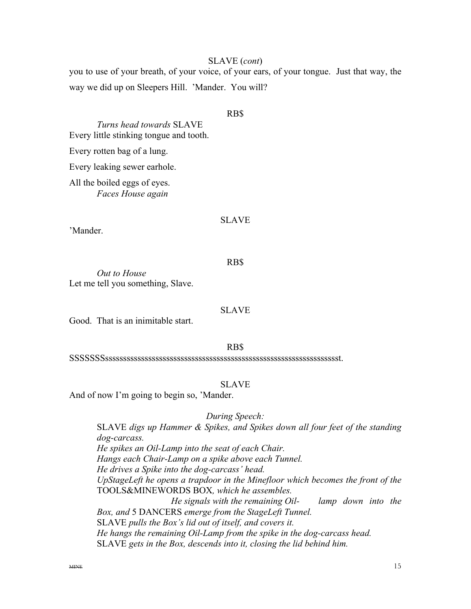SLAVE (*cont*) you to use of your breath, of your voice, of your ears, of your tongue. Just that way, the way we did up on Sleepers Hill. 'Mander. You will?

## RB\$

*Turns head towards* SLAVE Every little stinking tongue and tooth.

Every rotten bag of a lung.

Every leaking sewer earhole.

All the boiled eggs of eyes. *Faces House again*

# SLAVE

'Mander.

## RB\$

*Out to House* Let me tell you something, Slave.

# SLAVE

Good. That is an inimitable start.

# RB\$

SSSSSSSssssssssssssssssssssssssssssssssssssssssssssssssssssssssssssssssst.

# SLAVE

And of now I'm going to begin so, 'Mander.

*During Speech:*

SLAVE *digs up Hammer & Spikes, and Spikes down all four feet of the standing dog-carcass. He spikes an Oil-Lamp into the seat of each Chair. Hangs each Chair-Lamp on a spike above each Tunnel. He drives a Spike into the dog-carcass' head. UpStageLeft he opens a trapdoor in the Minefloor which becomes the front of the*  TOOLS&MINEWORDS BOX*, which he assembles. He signals with the remaining Oil- lamp down into the Box, and* 5 DANCERS *emerge from the StageLeft Tunnel.* SLAVE *pulls the Box's lid out of itself, and covers it. He hangs the remaining Oil-Lamp from the spike in the dog-carcass head.*  SLAVE *gets in the Box, descends into it, closing the lid behind him.*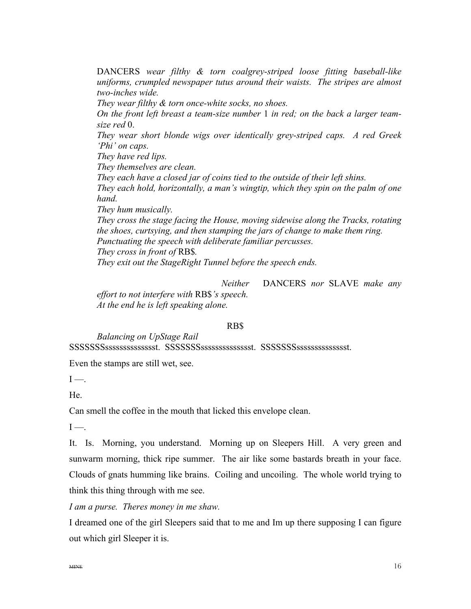DANCERS *wear filthy & torn coalgrey-striped loose fitting baseball-like uniforms, crumpled newspaper tutus around their waists. The stripes are almost two-inches wide.*

*They wear filthy & torn once-white socks, no shoes.* 

*On the front left breast a team-size number* 1 *in red; on the back a larger teamsize red* 0.

*They wear short blonde wigs over identically grey-striped caps. A red Greek 'Phi' on caps.* 

*They have red lips.*

*They themselves are clean.*

*They each have a closed jar of coins tied to the outside of their left shins.* 

*They each hold, horizontally, a man's wingtip, which they spin on the palm of one hand.* 

*They hum musically.* 

*They cross the stage facing the House, moving sidewise along the Tracks, rotating the shoes, curtsying, and then stamping the jars of change to make them ring. Punctuating the speech with deliberate familiar percusses.* 

*They cross in front of* RB\$*.* 

*They exit out the StageRight Tunnel before the speech ends.* 

*Neither* DANCERS *nor* SLAVE *make any effort to not interfere with* RB\$*'s speech. At the end he is left speaking alone.* 

#### RB\$

*Balancing on UpStage Rail* SSSSSSSsssssssssssssst. SSSSSSSsssssssssssssst. SSSSSSSsssssssssssssst.

Even the stamps are still wet, see.

 $I -$ 

He.

Can smell the coffee in the mouth that licked this envelope clean.

 $I -$ 

It. Is. Morning, you understand. Morning up on Sleepers Hill. A very green and sunwarm morning, thick ripe summer. The air like some bastards breath in your face. Clouds of gnats humming like brains. Coiling and uncoiling. The whole world trying to think this thing through with me see.

*I am a purse. Theres money in me shaw.*

I dreamed one of the girl Sleepers said that to me and Im up there supposing I can figure out which girl Sleeper it is.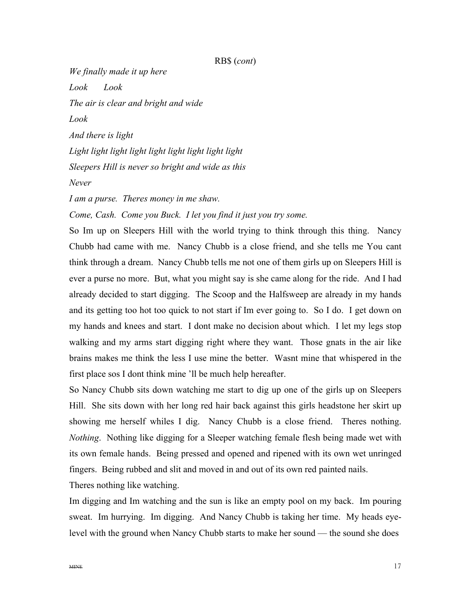*We finally made it up here Look Look The air is clear and bright and wide Look And there is light Light light light light light light light light light Sleepers Hill is never so bright and wide as this Never*

*I am a purse. Theres money in me shaw.* 

*Come, Cash. Come you Buck. I let you find it just you try some.* 

So Im up on Sleepers Hill with the world trying to think through this thing. Nancy Chubb had came with me. Nancy Chubb is a close friend, and she tells me You cant think through a dream. Nancy Chubb tells me not one of them girls up on Sleepers Hill is ever a purse no more. But, what you might say is she came along for the ride. And I had already decided to start digging. The Scoop and the Halfsweep are already in my hands and its getting too hot too quick to not start if Im ever going to. So I do. I get down on my hands and knees and start. I dont make no decision about which. I let my legs stop walking and my arms start digging right where they want. Those gnats in the air like brains makes me think the less I use mine the better. Wasnt mine that whispered in the first place sos I dont think mine 'll be much help hereafter.

So Nancy Chubb sits down watching me start to dig up one of the girls up on Sleepers Hill. She sits down with her long red hair back against this girls headstone her skirt up showing me herself whiles I dig. Nancy Chubb is a close friend. Theres nothing. *Nothing*. Nothing like digging for a Sleeper watching female flesh being made wet with its own female hands. Being pressed and opened and ripened with its own wet unringed fingers. Being rubbed and slit and moved in and out of its own red painted nails.

Theres nothing like watching.

Im digging and Im watching and the sun is like an empty pool on my back. Im pouring sweat. Im hurrying. Im digging. And Nancy Chubb is taking her time. My heads eyelevel with the ground when Nancy Chubb starts to make her sound — the sound she does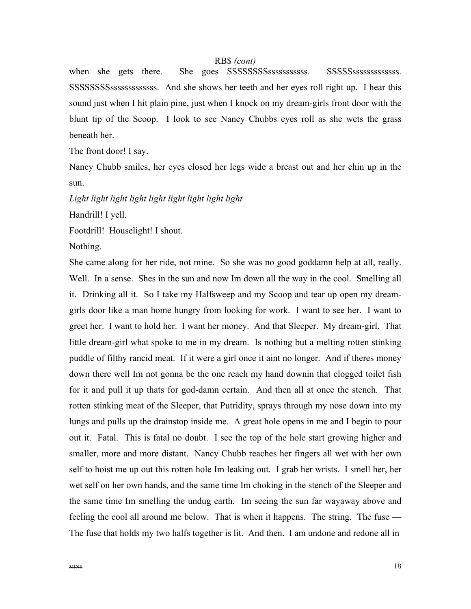when she gets there. She goes SSSSSSSSsssssssssss. SSSSSsssssssssssss. SSSSSSSSsssssssssssss. And she shows her teeth and her eyes roll right up. I hear this sound just when I hit plain pine, just when I knock on my dream-girls front door with the blunt tip of the Scoop. I look to see Nancy Chubbs eyes roll as she wets the grass beneath her.

The front door! I say.

Nancy Chubb smiles, her eyes closed her legs wide a breast out and her chin up in the sun.

*Light light light light light light light light light* Handrill! I yell.

Footdrill! Houselight! I shout.

Nothing.

She came along for her ride, not mine. So she was no good goddamn help at all, really. Well. In a sense. Shes in the sun and now Im down all the way in the cool. Smelling all it. Drinking all it. So I take my Halfsweep and my Scoop and tear up open my dreamgirls door like a man home hungry from looking for work. I want to see her. I want to greet her. I want to hold her. I want her money. And that Sleeper. My dream-girl. That little dream-girl what spoke to me in my dream. Is nothing but a melting rotten stinking puddle of filthy rancid meat. If it were a girl once it aint no longer. And if theres money down there well Im not gonna be the one reach my hand downin that clogged toilet fish for it and pull it up thats for god-damn certain. And then all at once the stench. That rotten stinking meat of the Sleeper, that Putridity, sprays through my nose down into my lungs and pulls up the drainstop inside me. A great hole opens in me and I begin to pour out it. Fatal. This is fatal no doubt. I see the top of the hole start growing higher and smaller, more and more distant. Nancy Chubb reaches her fingers all wet with her own self to hoist me up out this rotten hole Im leaking out. I grab her wrists. I smell her, her wet self on her own hands, and the same time Im choking in the stench of the Sleeper and the same time Im smelling the undug earth. Im seeing the sun far wayaway above and feeling the cool all around me below. That is when it happens. The string. The fuse — The fuse that holds my two halfs together is lit. And then. I am undone and redone all in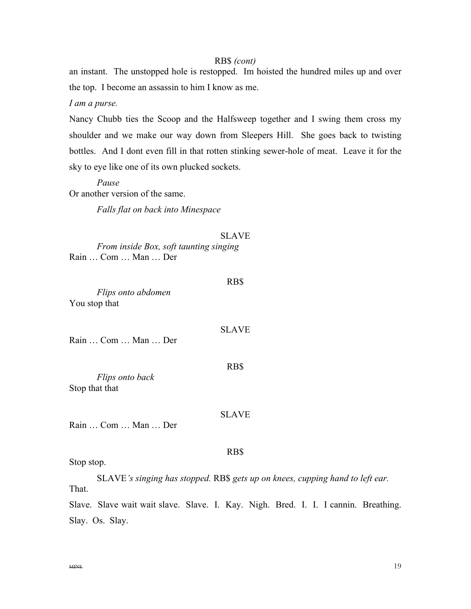an instant. The unstopped hole is restopped. Im hoisted the hundred miles up and over the top. I become an assassin to him I know as me.

*I am a purse.*

Nancy Chubb ties the Scoop and the Halfsweep together and I swing them cross my shoulder and we make our way down from Sleepers Hill. She goes back to twisting bottles. And I dont even fill in that rotten stinking sewer-hole of meat. Leave it for the sky to eye like one of its own plucked sockets.

*Pause* Or another version of the same.

*Falls flat on back into Minespace*

#### SLAVE

RB\$

*From inside Box, soft taunting singing* Rain … Com … Man … Der

*Flips onto abdomen* You stop that

SLAVE

Rain … Com … Man … Der

*Flips onto back* Stop that that

#### SLAVE

RB\$

Rain … Com … Man … Der

#### RB\$

Stop stop.

SLAVE*'s singing has stopped.* RB\$ *gets up on knees, cupping hand to left ear.* That.

Slave. Slave wait wait slave. Slave. I. Kay. Nigh. Bred. I. I. I cannin. Breathing. Slay. Os. Slay.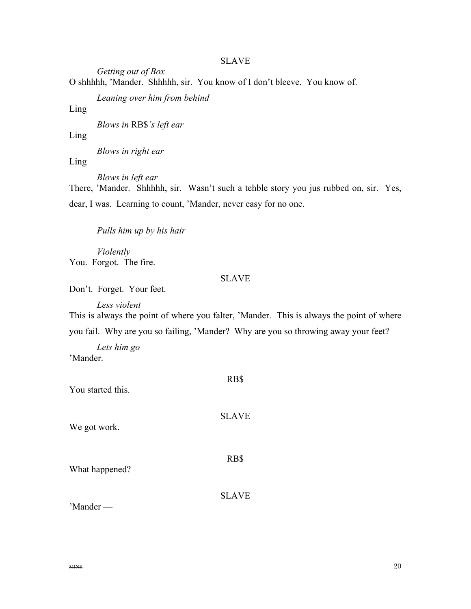# SLAVE

*Getting out of Box* O shhhhh, 'Mander. Shhhhh, sir. You know of I don't bleeve. You know of.

*Leaning over him from behind*

Ling

*Blows in* RB\$*'s left ear*

Ling

*Blows in right ear*

Ling

*Blows in left ear*

There, 'Mander. Shhhhh, sir. Wasn't such a tehble story you jus rubbed on, sir. Yes, dear, I was. Learning to count, 'Mander, never easy for no one.

*Pulls him up by his hair*

*Violently* You. Forgot. The fire.

# SLAVE

Don't. Forget. Your feet.

*Less violent*

This is always the point of where you falter, 'Mander. This is always the point of where

you fail. Why are you so failing, 'Mander? Why are you so throwing away your feet?

*Lets him go* 'Mander.

| You started this. | RB\$         |
|-------------------|--------------|
| We got work.      | <b>SLAVE</b> |
| What happened?    | RB\$         |
| $'$ Mander —      | <b>SLAVE</b> |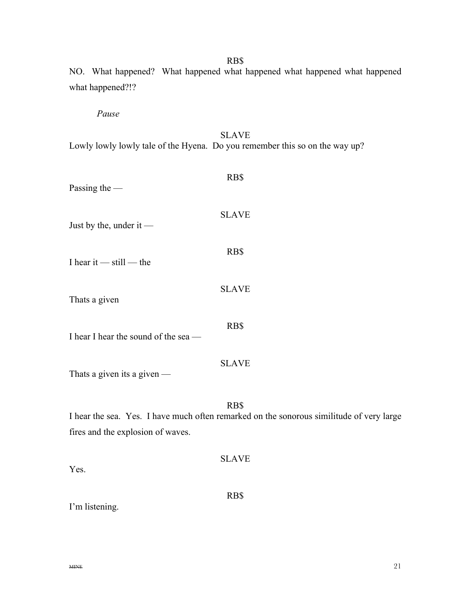RB\$ NO. What happened? What happened what happened what happened what happened what happened?!?

*Pause*

# SLAVE

RB\$

Lowly lowly lowly tale of the Hyena. Do you remember this so on the way up?

| Passing the -                                                                                                                         | RB\$         |  |
|---------------------------------------------------------------------------------------------------------------------------------------|--------------|--|
| Just by the, under it $-$                                                                                                             | <b>SLAVE</b> |  |
| I hear it $-$ still $-$ the                                                                                                           | RB\$         |  |
| Thats a given                                                                                                                         | <b>SLAVE</b> |  |
| I hear I hear the sound of the sea -                                                                                                  | RB\$         |  |
| Thats a given its a given $-$                                                                                                         | <b>SLAVE</b> |  |
| RB\$<br>I hear the sea. Yes. I have much often remarked on the sonorous similitude of very large<br>fires and the explosion of waves. |              |  |
| Yes.                                                                                                                                  | <b>SLAVE</b> |  |

I'm listening.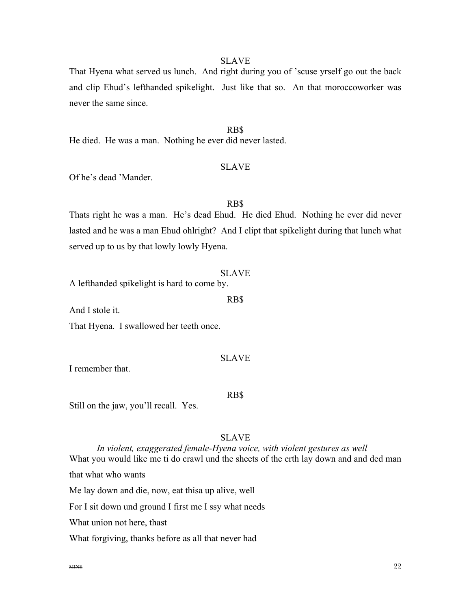# SLAVE

That Hyena what served us lunch. And right during you of 'scuse yrself go out the back and clip Ehud's lefthanded spikelight. Just like that so. An that moroccoworker was never the same since.

# RB\$

He died. He was a man. Nothing he ever did never lasted.

# SLAVE

Of he's dead 'Mander.

# RB\$

Thats right he was a man. He's dead Ehud. He died Ehud. Nothing he ever did never lasted and he was a man Ehud ohlright? And I clipt that spikelight during that lunch what served up to us by that lowly lowly Hyena.

# SLAVE

A lefthanded spikelight is hard to come by.

# RB\$

And I stole it.

That Hyena. I swallowed her teeth once.

# SLAVE

I remember that.

# RB\$

Still on the jaw, you'll recall. Yes.

# SLAVE

*In violent, exaggerated female-Hyena voice, with violent gestures as well*  What you would like me ti do crawl und the sheets of the erth lay down and and ded man that what who wants

Me lay down and die, now, eat thisa up alive, well

For I sit down und ground I first me I ssy what needs

What union not here, thast

What forgiving, thanks before as all that never had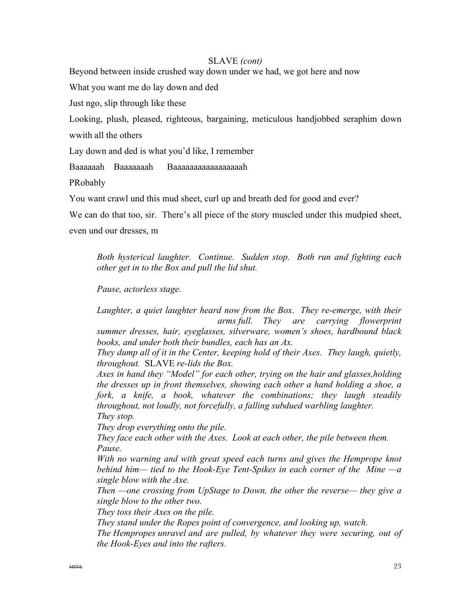# SLAVE *(cont)*

Beyond between inside crushed way down under we had, we got here and now

What you want me do lay down and ded

Just ngo, slip through like these

Looking, plush, pleased, righteous, bargaining, meticulous handjobbed seraphim down wwith all the others

Lay down and ded is what you'd like, I remember

Baaaaaah Baaaaaaah Baaaaaaaaaaaaaaaaah

PRobably

You want crawl und this mud sheet, curl up and breath ded for good and ever?

We can do that too, sir. There's all piece of the story muscled under this mudpied sheet, even und our dresses, m

*Both hysterical laughter. Continue. Sudden stop. Both run and fighting each other get in to the Box and pull the lid shut.*

*Pause, actorless stage.*

*Laughter, a quiet laughter heard now from the Box*. *They re-emerge, with their arms full. They are carrying flowerprint summer dresses, hair, eyeglasses, silverware, women's shoes, hardbound black books, and under both their bundles, each has an Ax.* 

*They dump all of it in the Center, keeping hold of their Axes. They laugh, quietly, throughout.* SLAVE *re-lids the Box.* 

*Axes in hand they "Model" for each other, trying on the hair and glasses,holding the dresses up in front themselves, showing each other a hand holding a shoe, a fork, a knife, a book, whatever the combinations; they laugh steadily throughout, not loudly, not forcefully, a falling subdued warbling laughter. They stop.* 

*They drop everything onto the pile.* 

*They face each other with the Axes. Look at each other, the pile between them. Pause.* 

*With no warning and with great speed each turns and gives the Hemprope knot behind him— tied to the Hook-Eye Tent-Spikes in each corner of the Mine —a single blow with the Axe.* 

*Then —one crossing from UpStage to Down, the other the reverse— they give a single blow to the other two.* 

*They toss their Axes on the pile.* 

*They stand under the Ropes point of convergence, and looking up, watch.* 

*The Hempropes unravel and are pulled, by whatever they were securing, out of the Hook-Eyes and into the rafters.*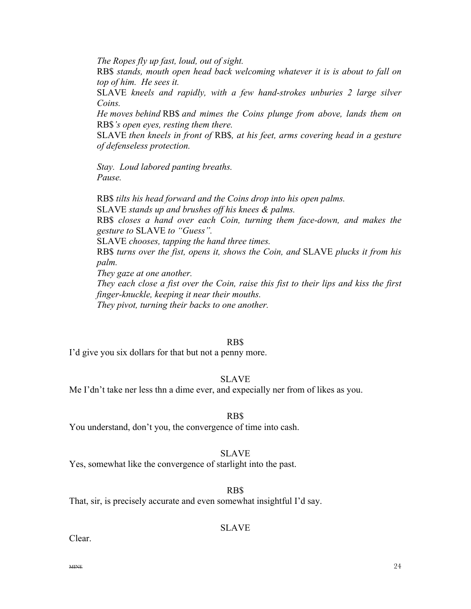*The Ropes fly up fast, loud, out of sight.*

RB\$ *stands, mouth open head back welcoming whatever it is is about to fall on top of him. He sees it.* 

SLAVE *kneels and rapidly, with a few hand-strokes unburies 2 large silver Coins.* 

*He moves behind* RB\$ *and mimes the Coins plunge from above, lands them on*  RB\$*'s open eyes, resting them there.* 

SLAVE *then kneels in front of* RB\$*, at his feet, arms covering head in a gesture of defenseless protection.*

*Stay. Loud labored panting breaths. Pause.*

RB\$ *tilts his head forward and the Coins drop into his open palms.*  SLAVE *stands up and brushes off his knees & palms.* RB\$ *closes a hand over each Coin, turning them face-down, and makes the gesture to* SLAVE *to "Guess".*  SLAVE *chooses, tapping the hand three times.*  RB\$ *turns over the fist, opens it, shows the Coin, and* SLAVE *plucks it from his palm. They gaze at one another. They each close a fist over the Coin, raise this fist to their lips and kiss the first finger-knuckle, keeping it near their mouths.*

*They pivot, turning their backs to one another.*

## RB\$

I'd give you six dollars for that but not a penny more.

#### SLAVE

Me I'dn't take ner less thn a dime ever, and expecially ner from of likes as you.

#### RB\$

You understand, don't you, the convergence of time into cash.

#### SLAVE

Yes, somewhat like the convergence of starlight into the past.

## RB\$

That, sir, is precisely accurate and even somewhat insightful I'd say.

#### SLAVE

Clear.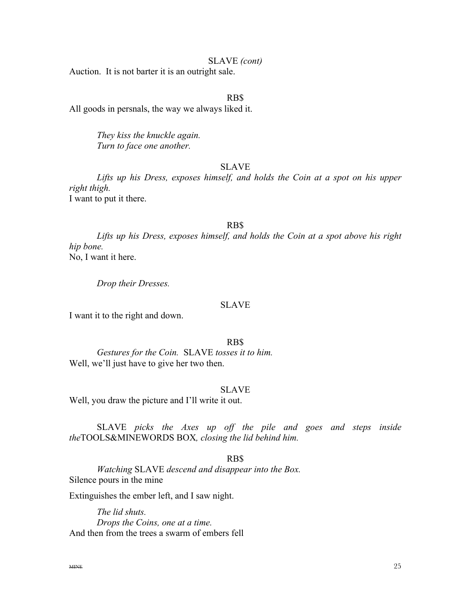# SLAVE *(cont)*

Auction. It is not barter it is an outright sale.

# RB\$

All goods in persnals, the way we always liked it.

*They kiss the knuckle again. Turn to face one another.*

# SLAVE

*Lifts up his Dress, exposes himself, and holds the Coin at a spot on his upper right thigh.*

I want to put it there.

#### RB\$

*Lifts up his Dress, exposes himself, and holds the Coin at a spot above his right hip bone.* No, I want it here.

*Drop their Dresses.*

## SLAVE

I want it to the right and down.

RB\$

*Gestures for the Coin.* SLAVE *tosses it to him.* Well, we'll just have to give her two then.

#### SLAVE

Well, you draw the picture and I'll write it out.

SLAVE *picks the Axes up off the pile and goes and steps inside the*TOOLS&MINEWORDS BOX*, closing the lid behind him.*

RB\$

*Watching* SLAVE *descend and disappear into the Box.* Silence pours in the mine

Extinguishes the ember left, and I saw night.

*The lid shuts. Drops the Coins, one at a time.* And then from the trees a swarm of embers fell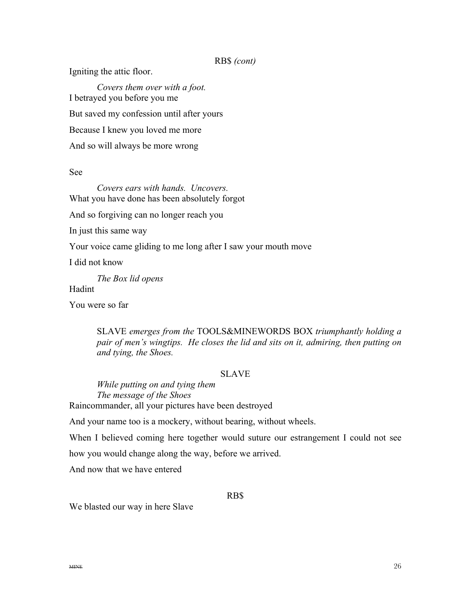Igniting the attic floor.

*Covers them over with a foot.* I betrayed you before you me But saved my confession until after yours Because I knew you loved me more And so will always be more wrong

See

*Covers ears with hands. Uncovers.* What you have done has been absolutely forgot

And so forgiving can no longer reach you

In just this same way

Your voice came gliding to me long after I saw your mouth move

I did not know

*The Box lid opens*

Hadint

You were so far

SLAVE *emerges from the* TOOLS&MINEWORDS BOX *triumphantly holding a pair of men's wingtips. He closes the lid and sits on it, admiring, then putting on and tying, the Shoes.*

# SLAVE

*While putting on and tying them The message of the Shoes* Raincommander, all your pictures have been destroyed

And your name too is a mockery, without bearing, without wheels.

When I believed coming here together would suture our estrangement I could not see how you would change along the way, before we arrived.

And now that we have entered

## RB\$

We blasted our way in here Slave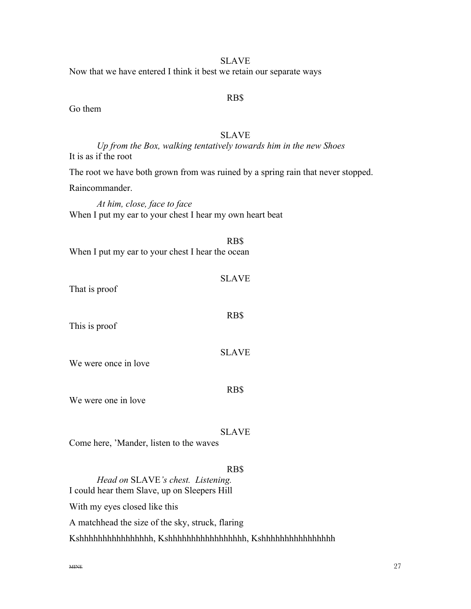## SLAVE

Now that we have entered I think it best we retain our separate ways

# RB\$

Go them

# SLAVE

 $D\overline{D}\mathfrak{C}$ 

SLAVE

RB\$

SLAVE

# *Up from the Box, walking tentatively towards him in the new Shoes* It is as if the root

The root we have both grown from was ruined by a spring rain that never stopped.

Raincommander.

*At him, close, face to face* When I put my ear to your chest I hear my own heart beat

|  | TAD D                                            |
|--|--------------------------------------------------|
|  | When I put my ear to your chest I hear the ocean |

This is proof

We were once in love

RB\$

We were one in love

# SLAVE

Come here, 'Mander, listen to the waves

# RB\$

*Head on* SLAVE*'s chest. Listening.* I could hear them Slave, up on Sleepers Hill With my eyes closed like this A matchhead the size of the sky, struck, flaring

Kshhhhhhhhhhhhhhhh, Kshhhhhhhhhhhhhhhhh, Kshhhhhhhhhhhhhhhh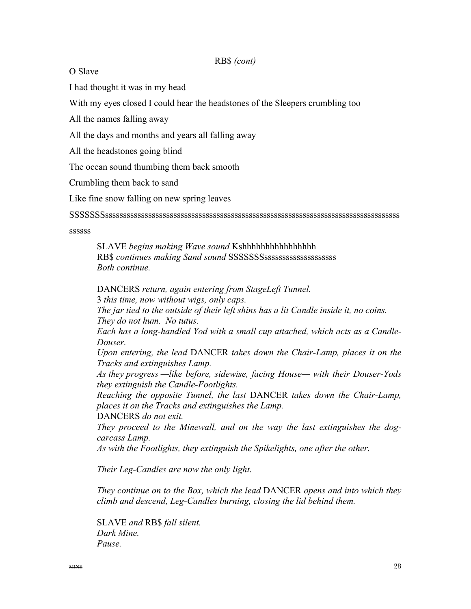O Slave

I had thought it was in my head

With my eyes closed I could hear the headstones of the Sleepers crumbling too

All the names falling away

All the days and months and years all falling away

All the headstones going blind

The ocean sound thumbing them back smooth

Crumbling them back to sand

Like fine snow falling on new spring leaves

SSSSSSSssssssssssssssssssssssssssssssssssssssssssssssssssssssssssssssssssssssssssssssssss

**SSSSSSS** 

SLAVE *begins making Wave sound* Kshhhhhhhhhhhhhhhh RB\$ *continues making Sand sound* SSSSSSSssssssssssssssssssss *Both continue.*

DANCERS *return, again entering from StageLeft Tunnel.*  3 *this time, now without wigs, only caps. The jar tied to the outside of their left shins has a lit Candle inside it, no coins. They do not hum. No tutus. Each has a long-handled Yod with a small cup attached, which acts as a Candle-Douser. Upon entering, the lead* DANCER *takes down the Chair-Lamp, places it on the Tracks and extinguishes Lamp. As they progress —like before, sidewise, facing House— with their Douser-Yods they extinguish the Candle-Footlights. Reaching the opposite Tunnel, the last* DANCER *takes down the Chair-Lamp, places it on the Tracks and extinguishes the Lamp.*  DANCERS *do not exit. They proceed to the Minewall, and on the way the last extinguishes the dogcarcass Lamp. As with the Footlights, they extinguish the Spikelights, one after the other.* 

*Their Leg-Candles are now the only light.* 

*They continue on to the Box, which the lead* DANCER *opens and into which they climb and descend, Leg-Candles burning, closing the lid behind them.* 

SLAVE *and* RB\$ *fall silent. Dark Mine. Pause.*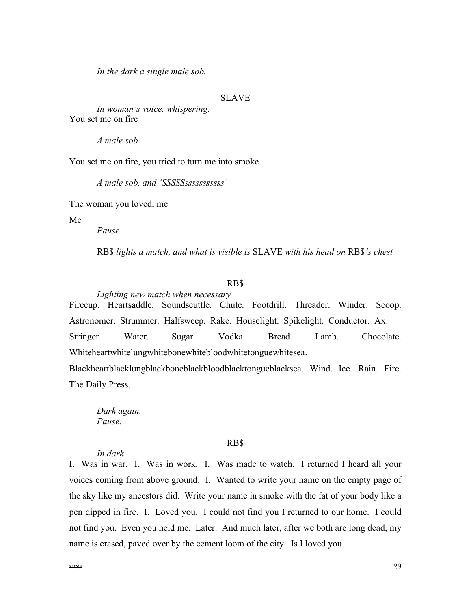*In the dark a single male sob.*

## SLAVE

*In woman's voice, whispering.* You set me on fire

*A male sob*

You set me on fire, you tried to turn me into smoke

*A male sob, and 'SSSSSsssssssssss'*

The woman you loved, me

Me

*Pause*

RB\$ *lights a match, and what is visible is* SLAVE *with his head on* RB\$*'s chest*

# RB\$

*Lighting new match when necessary* Firecup. Heartsaddle. Soundscuttle. Chute. Footdrill. Threader. Winder. Scoop. Astronomer. Strummer. Halfsweep. Rake. Houselight. Spikelight. Conductor. Ax. Stringer. Water. Sugar. Vodka. Bread. Lamb. Chocolate. Whiteheartwhitelungwhitebonewhitebloodwhitetonguewhitesea. Blackheartblacklungblackboneblackbloodblacktongueblacksea. Wind. Ice. Rain. Fire. The Daily Press.

*Dark again. Pause.*

#### RB\$

*In dark*

I. Was in war. I. Was in work. I. Was made to watch. I returned I heard all your voices coming from above ground. I. Wanted to write your name on the empty page of the sky like my ancestors did. Write your name in smoke with the fat of your body like a pen dipped in fire. I. Loved you. I could not find you I returned to our home. I could not find you. Even you held me. Later. And much later, after we both are long dead, my name is erased, paved over by the cement loom of the city. Is I loved you.

 $\overline{M}$ NESE 29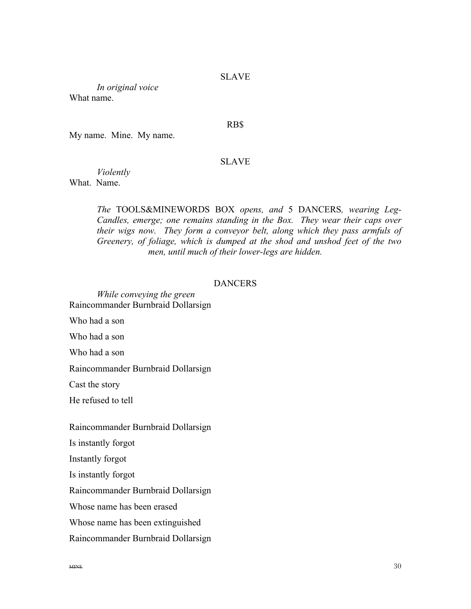# SLAVE

*In original voice* What name.

RB\$

My name. Mine. My name.

# SLAVE

*Violently* What. Name.

> *The* TOOLS&MINEWORDS BOX *opens, and* 5 DANCERS*, wearing Leg-Candles, emerge; one remains standing in the Box. They wear their caps over their wigs now. They form a conveyor belt, along which they pass armfuls of Greenery, of foliage, which is dumped at the shod and unshod feet of the two men, until much of their lower-legs are hidden.*

# **DANCERS**

*While conveying the green* Raincommander Burnbraid Dollarsign

Who had a son

Who had a son

Who had a son

Raincommander Burnbraid Dollarsign

Cast the story

He refused to tell

Raincommander Burnbraid Dollarsign

Is instantly forgot

Instantly forgot

Is instantly forgot

Raincommander Burnbraid Dollarsign

Whose name has been erased

Whose name has been extinguished

Raincommander Burnbraid Dollarsign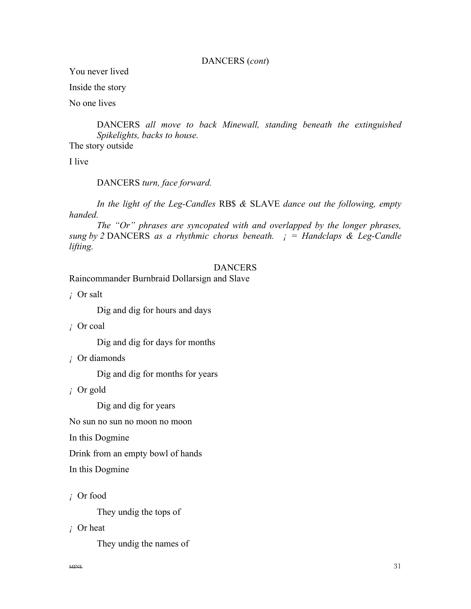# DANCERS (*cont*)

You never lived

Inside the story

No one lives

DANCERS *all move to back Minewall, standing beneath the extinguished Spikelights, backs to house.*

The story outside

I live

DANCERS *turn, face forward.* 

*In the light of the Leg-Candles* RB\$ *&* SLAVE *dance out the following, empty handed.*

*The "Or" phrases are syncopated with and overlapped by the longer phrases, sung by 2 DANCERS as a rhythmic chorus beneath.*  $i =$  *Handclaps & Leg-Candle lifting.*

# **DANCERS**

Raincommander Burnbraid Dollarsign and Slave

*¡* Or salt

Dig and dig for hours and days

*¡* Or coal

Dig and dig for days for months

*¡* Or diamonds

Dig and dig for months for years

*¡* Or gold

Dig and dig for years

No sun no sun no moon no moon

In this Dogmine

Drink from an empty bowl of hands

In this Dogmine

*¡* Or food

They undig the tops of

*¡* Or heat

They undig the names of

 $\frac{M}{31}$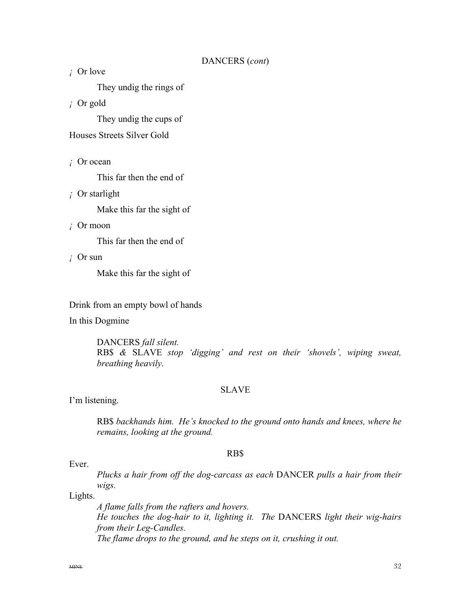# DANCERS (*cont*)

*¡* Or love

They undig the rings of

*¡* Or gold

They undig the cups of

Houses Streets Silver Gold

# *¡* Or ocean

This far then the end of

# *¡* Or starlight

Make this far the sight of

*¡* Or moon

This far then the end of

*¡* Or sun

Make this far the sight of

Drink from an empty bowl of hands

In this Dogmine

DANCERS *fall silent.* RB\$ *&* SLAVE *stop 'digging' and rest on their 'shovels', wiping sweat, breathing heavily.*

## SLAVE

I'm listening.

RB\$ *backhands him. He's knocked to the ground onto hands and knees, where he remains, looking at the ground.*

# RB\$

## Ever.

*Plucks a hair from off the dog-carcass as each* DANCER *pulls a hair from their wigs.*

# Lights.

*A flame falls from the rafters and hovers. He touches the dog-hair to it, lighting it. The* DANCERS *light their wig-hairs from their Leg-Candles. The flame drops to the ground, and he steps on it, crushing it out.*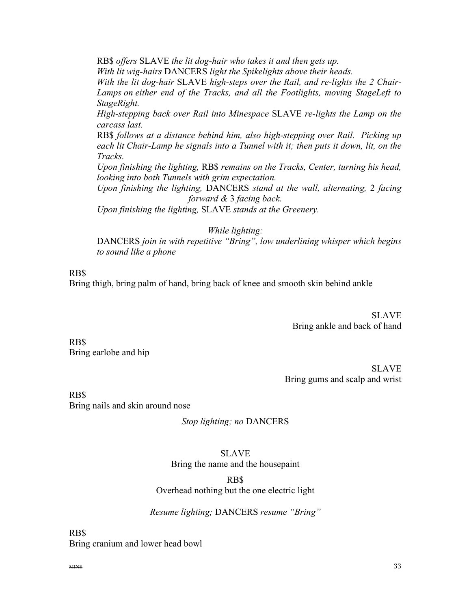RB\$ *offers* SLAVE *the lit dog-hair who takes it and then gets up. With lit wig-hairs* DANCERS *light the Spikelights above their heads. With the lit dog-hair* SLAVE *high-steps over the Rail, and re-lights the 2 Chair-Lamps on either end of the Tracks, and all the Footlights, moving StageLeft to StageRight. High-stepping back over Rail into Minespace* SLAVE *re-lights the Lamp on the carcass last.* RB\$ *follows at a distance behind him, also high-stepping over Rail. Picking up each lit Chair-Lamp he signals into a Tunnel with it; then puts it down, lit, on the Tracks. Upon finishing the lighting,* RB\$ *remains on the Tracks, Center, turning his head, looking into both Tunnels with grim expectation. Upon finishing the lighting,* DANCERS *stand at the wall, alternating,* 2 *facing* 

*forward &* 3 *facing back. Upon finishing the lighting,* SLAVE *stands at the Greenery.*

*While lighting:*

DANCERS *join in with repetitive "Bring", low underlining whisper which begins to sound like a phone*

# RB\$

Bring thigh, bring palm of hand, bring back of knee and smooth skin behind ankle

SLAVE Bring ankle and back of hand

RB\$ Bring earlobe and hip

> SLAVE Bring gums and scalp and wrist

RB\$

Bring nails and skin around nose

*Stop lighting; no* DANCERS

SLAVE Bring the name and the housepaint

RB\$

Overhead nothing but the one electric light

*Resume lighting;* DANCERS *resume "Bring"*

RB\$

Bring cranium and lower head bowl

 $\overline{\text{MINE}}$  33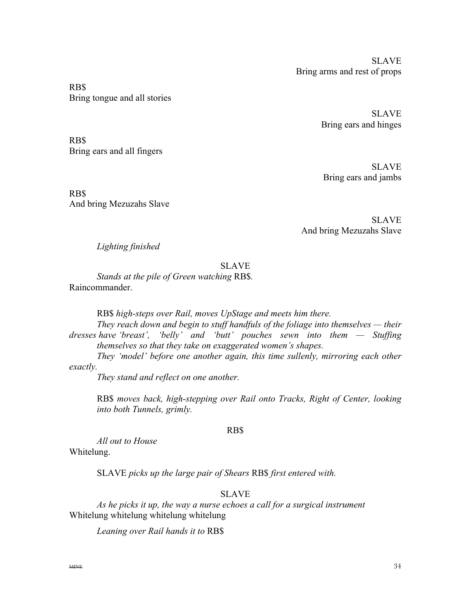SLAVE Bring arms and rest of props

RB\$ Bring tongue and all stories

> SLAVE Bring ears and hinges

RB\$ Bring ears and all fingers

RB\$ And bring Mezuzahs Slave

Bring ears and jambs

SLAVE

SLAVE And bring Mezuzahs Slave

*Lighting finished*

# SLAVE

*Stands at the pile of Green watching* RB\$*.* Raincommander.

RB\$ *high-steps over Rail, moves UpStage and meets him there. They reach down and begin to stuff handfuls of the foliage into themselves — their dresses have 'breast', 'belly' and 'butt' pouches sewn into them — Stuffing themselves so that they take on exaggerated women's shapes.* 

*They 'model' before one another again, this time sullenly, mirroring each other exactly.*

*They stand and reflect on one another.*

RB\$ *moves back, high-stepping over Rail onto Tracks, Right of Center, looking into both Tunnels, grimly.*

# RB\$

*All out to House* Whitelung.

SLAVE *picks up the large pair of Shears* RB\$ *first entered with.*

# SLAVE

*As he picks it up, the way a nurse echoes a call for a surgical instrument* Whitelung whitelung whitelung whitelung

*Leaning over Rail hands it to* RB\$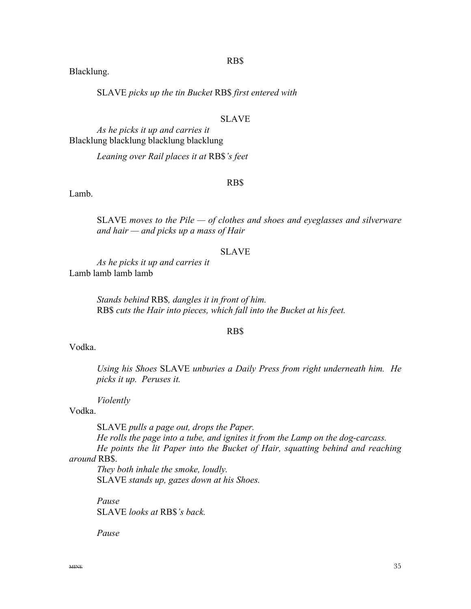## RB\$

# Blacklung.

SLAVE *picks up the tin Bucket* RB\$ *first entered with*

# SLAVE

*As he picks it up and carries it* Blacklung blacklung blacklung blacklung

*Leaning over Rail places it at* RB\$*'s feet*

# RB\$

Lamb.

SLAVE *moves to the Pile — of clothes and shoes and eyeglasses and silverware and hair — and picks up a mass of Hair*

# SLAVE

*As he picks it up and carries it* Lamb lamb lamb lamb

> *Stands behind* RB\$*, dangles it in front of him.*  RB\$ *cuts the Hair into pieces, which fall into the Bucket at his feet.*

## RB\$

Vodka.

*Using his Shoes* SLAVE *unburies a Daily Press from right underneath him. He picks it up. Peruses it.* 

*Violently*

Vodka.

SLAVE *pulls a page out, drops the Paper. He rolls the page into a tube, and ignites it from the Lamp on the dog-carcass. He points the lit Paper into the Bucket of Hair, squatting behind and reaching around* RB\$.

*They both inhale the smoke, loudly.*  SLAVE *stands up, gazes down at his Shoes.*

*Pause* SLAVE *looks at* RB\$*'s back.* 

*Pause*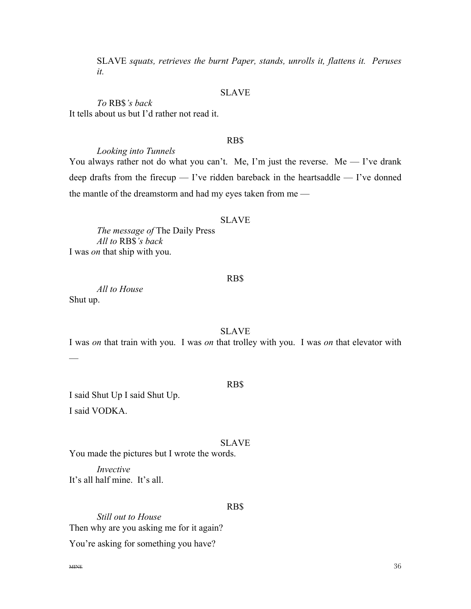SLAVE *squats, retrieves the burnt Paper, stands, unrolls it, flattens it. Peruses it.* 

# SLAVE

*To* RB\$*'s back*  It tells about us but I'd rather not read it.

# RB\$

*Looking into Tunnels* You always rather not do what you can't. Me, I'm just the reverse. Me  $-$  I've drank deep drafts from the firecup — I've ridden bareback in the heartsaddle — I've donned the mantle of the dreamstorm and had my eyes taken from me —

# SLAVE

*The message of* The Daily Press *All to* RB\$*'s back* I was *on* that ship with you.

## RB\$

*All to House* Shut up.

SLAVE

I was *on* that train with you. I was *on* that trolley with you. I was *on* that elevator with

#### RB\$

I said Shut Up I said Shut Up.

I said VODKA.

—

#### SLAVE

You made the pictures but I wrote the words.

*Invective* It's all half mine. It's all.

#### RB\$

*Still out to House* Then why are you asking me for it again?

You're asking for something you have?

 $\frac{M}{M}$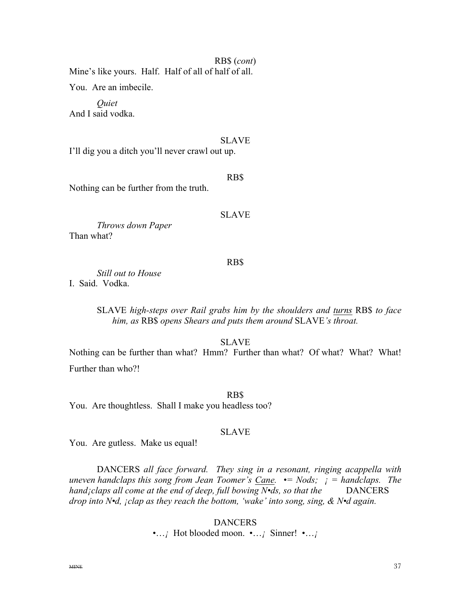RB\$ (*cont*) Mine's like yours. Half. Half of all of half of all. You. Are an imbecile.

*Quiet* And I said vodka.

## SLAVE

I'll dig you a ditch you'll never crawl out up.

RB\$

Nothing can be further from the truth.

#### SLAVE

*Throws down Paper*  Than what?

#### RB\$

*Still out to House* 

I. Said. Vodka.

SLAVE *high-steps over Rail grabs him by the shoulders and turns* RB\$ *to face him, as* RB\$ *opens Shears and puts them around* SLAVE*'s throat.*

SLAVE

Nothing can be further than what? Hmm? Further than what? Of what? What? What! Further than who?!

RB\$

You. Are thoughtless. Shall I make you headless too?

# SLAVE

You. Are gutless. Make us equal!

DANCERS *all face forward. They sing in a resonant, ringing acappella with uneven handclaps this song from Jean Toomer's Cane. •= Nods; ¡ = handclaps. The hand j*claps all come at the end of deep, full bowing N•ds, so that the DANCERS *drop into N•d, ¡clap as they reach the bottom, 'wake' into song, sing, & N•d again.* 

# DANCERS

•…*¡* Hot blooded moon. •…*¡* Sinner! •…*¡*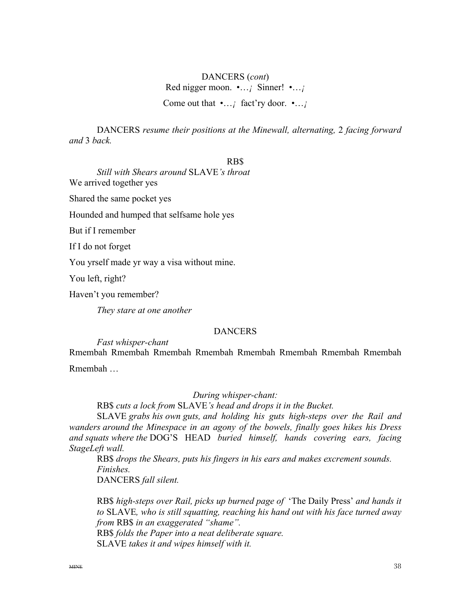DANCERS (*cont*) Red nigger moon. •…*¡* Sinner! •…*¡* Come out that •…*¡* fact'ry door. •…*¡*

DANCERS *resume their positions at the Minewall, alternating,* 2 *facing forward and* 3 *back.*

RB\$

*Still with Shears around* SLAVE*'s throat* We arrived together yes

Shared the same pocket yes

Hounded and humped that selfsame hole yes

But if I remember

If I do not forget

You yrself made yr way a visa without mine.

You left, right?

Haven't you remember?

*They stare at one another*

# **DANCERS**

*Fast whisper-chant*

Rmembah Rmembah Rmembah Rmembah Rmembah Rmembah Rmembah Rmembah Rmembah …

*During whisper-chant:*

RB\$ *cuts a lock from* SLAVE*'s head and drops it in the Bucket.* 

SLAVE *grabs his own guts, and holding his guts high-steps over the Rail and wanders around the Minespace in an agony of the bowels, finally goes hikes his Dress and squats where the* DOG'S HEAD *buried himself, hands covering ears, facing StageLeft wall.* 

RB\$ *drops the Shears, puts his fingers in his ears and makes excrement sounds. Finishes.*  DANCERS *fall silent.*

RB\$ *high-steps over Rail, picks up burned page of* 'The Daily Press' *and hands it to* SLAVE*, who is still squatting, reaching his hand out with his face turned away from* RB\$ *in an exaggerated "shame".* RB\$ *folds the Paper into a neat deliberate square.* 

SLAVE *takes it and wipes himself with it.*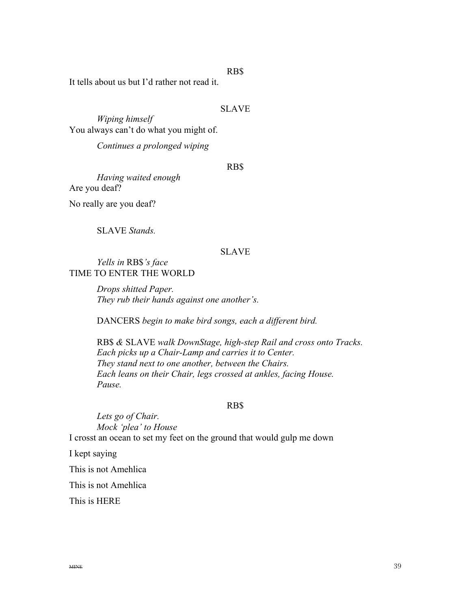# RB\$

It tells about us but I'd rather not read it.

# SLAVE

*Wiping himself* You always can't do what you might of.

*Continues a prolonged wiping*

#### RB\$

*Having waited enough* Are you deaf?

No really are you deaf?

SLAVE *Stands.*

# SLAVE

*Yells in* RB\$*'s face* TIME TO ENTER THE WORLD

> *Drops shitted Paper. They rub their hands against one another's.*

DANCERS *begin to make bird songs, each a different bird.*

RB\$ *&* SLAVE *walk DownStage, high-step Rail and cross onto Tracks. Each picks up a Chair-Lamp and carries it to Center. They stand next to one another, between the Chairs. Each leans on their Chair, legs crossed at ankles, facing House. Pause.*

# RB\$

*Lets go of Chair. Mock 'plea' to House* I crosst an ocean to set my feet on the ground that would gulp me down

I kept saying

This is not Amehlica

This is not Amehlica

This is HERE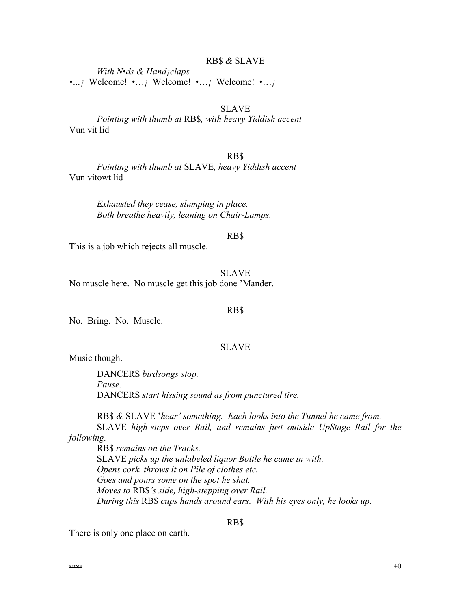# RB\$ *&* SLAVE

*With N*•*ds & Hand¡claps*

*•…¡* Welcome! •…*¡* Welcome! •…*¡* Welcome! •…*¡*

# SLAVE

*Pointing with thumb at* RB\$*, with heavy Yiddish accent* Vun vit lid

RB\$

*Pointing with thumb at* SLAVE*, heavy Yiddish accent* Vun vitowt lid

> *Exhausted they cease, slumping in place. Both breathe heavily, leaning on Chair-Lamps.*

#### RB\$

This is a job which rejects all muscle.

SLAVE No muscle here. No muscle get this job done 'Mander.

#### RB\$

No. Bring. No. Muscle.

#### SLAVE

Music though.

DANCERS *birdsongs stop. Pause.* DANCERS *start hissing sound as from punctured tire.*

RB\$ *&* SLAVE '*hear' something. Each looks into the Tunnel he came from.* SLAVE *high-steps over Rail, and remains just outside UpStage Rail for the* 

*following.* 

RB\$ *remains on the Tracks.*  SLAVE *picks up the unlabeled liquor Bottle he came in with. Opens cork, throws it on Pile of clothes etc. Goes and pours some on the spot he shat. Moves to* RB\$*'s side, high-stepping over Rail. During this* RB\$ *cups hands around ears. With his eyes only, he looks up.*

# RB\$

There is only one place on earth.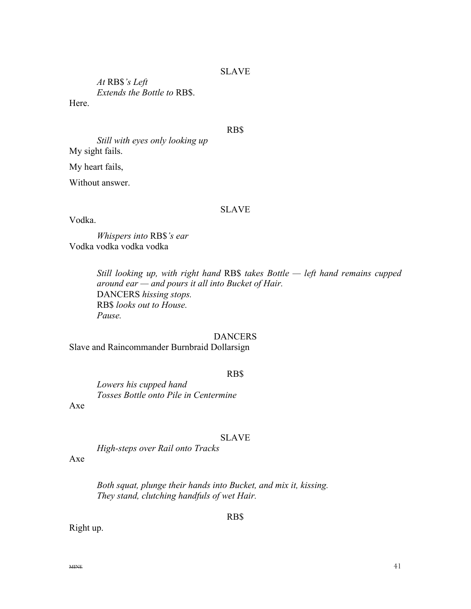# SLAVE

*At* RB\$*'s Left Extends the Bottle to* RB\$.

**Here**.

#### RB\$

*Still with eyes only looking up* My sight fails.

My heart fails,

Without answer.

## SLAVE

Vodka.

*Whispers into* RB\$*'s ear* Vodka vodka vodka vodka

> *Still looking up, with right hand* RB\$ *takes Bottle — left hand remains cupped around ear — and pours it all into Bucket of Hair.* DANCERS *hissing stops.* RB\$ *looks out to House. Pause.*

# **DANCERS**

Slave and Raincommander Burnbraid Dollarsign

#### RB\$

*Lowers his cupped hand Tosses Bottle onto Pile in Centermine*

Axe

# SLAVE

*High-steps over Rail onto Tracks*

Axe

*Both squat, plunge their hands into Bucket, and mix it, kissing. They stand, clutching handfuls of wet Hair.*

RB\$

Right up.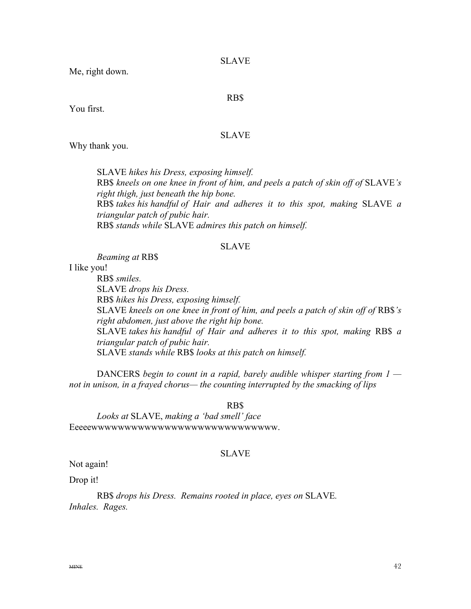SLAVE

Me, right down.

RB\$

You first.

## SLAVE

Why thank you.

SLAVE *hikes his Dress, exposing himself.*  RB\$ *kneels on one knee in front of him, and peels a patch of skin off of* SLAVE*'s right thigh, just beneath the hip bone.*  RB\$ *takes his handful of Hair and adheres it to this spot, making* SLAVE *a triangular patch of pubic hair.*  RB\$ *stands while* SLAVE *admires this patch on himself.*

# SLAVE

*Beaming at* RB\$

I like you!

RB\$ *smiles.* SLAVE *drops his Dress.* RB\$ *hikes his Dress, exposing himself.*  SLAVE *kneels on one knee in front of him, and peels a patch of skin off of* RB\$*'s right abdomen, just above the right hip bone.*  SLAVE *takes his handful of Hair and adheres it to this spot, making* RB\$ *a triangular patch of pubic hair.*  SLAVE *stands while* RB\$ *looks at this patch on himself.*

DANCERS *begin to count in a rapid, barely audible whisper starting from 1 not in unison, in a frayed chorus— the counting interrupted by the smacking of lips* 

#### RB\$

*Looks at* SLAVE, *making a 'bad smell' face* Eeeeewwwwwwwwwwwwwwwwwwwwwwwwwwww.

# SLAVE

Not again!

Drop it!

RB\$ *drops his Dress. Remains rooted in place, eyes on* SLAVE*. Inhales. Rages.*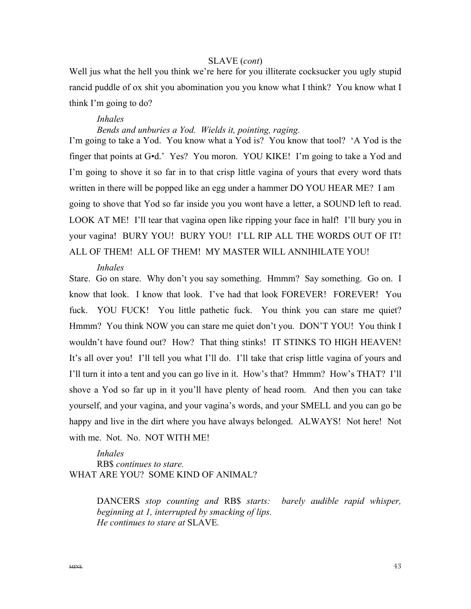# SLAVE (*cont*)

Well jus what the hell you think we're here for you illiterate cocksucker you ugly stupid rancid puddle of ox shit you abomination you you know what I think? You know what I think I'm going to do?

#### *Inhales*

*Bends and unburies a Yod. Wields it, pointing, raging.* 

I'm going to take a Yod. You know what a Yod is? You know that tool? 'A Yod is the finger that points at G•d.' Yes? You moron. YOU KIKE! I'm going to take a Yod and I'm going to shove it so far in to that crisp little vagina of yours that every word thats written in there will be popped like an egg under a hammer DO YOU HEAR ME? I am going to shove that Yod so far inside you you wont have a letter, a SOUND left to read. LOOK AT ME! I'll tear that vagina open like ripping your face in half! I'll bury you in your vagina! BURY YOU! BURY YOU! I'LL RIP ALL THE WORDS OUT OF IT! ALL OF THEM! ALL OF THEM! MY MASTER WILL ANNIHILATE YOU!

#### *Inhales*

Stare. Go on stare. Why don't you say something. Hmmm? Say something. Go on. I know that look. I know that look. I've had that look FOREVER! FOREVER! You fuck. YOU FUCK! You little pathetic fuck. You think you can stare me quiet? Hmmm? You think NOW you can stare me quiet don't you. DON'T YOU! You think I wouldn't have found out? How? That thing stinks! IT STINKS TO HIGH HEAVEN! It's all over you! I'll tell you what I'll do. I'll take that crisp little vagina of yours and I'll turn it into a tent and you can go live in it. How's that? Hmmm? How's THAT? I'll shove a Yod so far up in it you'll have plenty of head room. And then you can take yourself, and your vagina, and your vagina's words, and your SMELL and you can go be happy and live in the dirt where you have always belonged. ALWAYS! Not here! Not with me. Not. No. NOT WITH ME!

# *Inhales* RB\$ *continues to stare.*

WHAT ARE YOU? SOME KIND OF ANIMAL?

DANCERS *stop counting and* RB\$ *starts: barely audible rapid whisper, beginning at 1, interrupted by smacking of lips. He continues to stare at* SLAVE*.*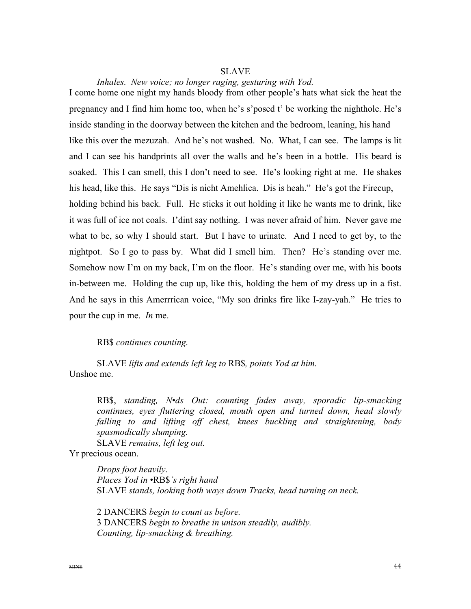# SLAVE

### *Inhales. New voice; no longer raging, gesturing with Yod.*

I come home one night my hands bloody from other people's hats what sick the heat the pregnancy and I find him home too, when he's s'posed t' be working the nighthole. He's inside standing in the doorway between the kitchen and the bedroom, leaning, his hand like this over the mezuzah. And he's not washed. No. What, I can see. The lamps is lit and I can see his handprints all over the walls and he's been in a bottle. His beard is soaked. This I can smell, this I don't need to see. He's looking right at me. He shakes his head, like this. He says "Dis is nicht Amehlica. Dis is heah." He's got the Firecup, holding behind his back. Full. He sticks it out holding it like he wants me to drink, like it was full of ice not coals. I'dint say nothing. I was never afraid of him. Never gave me what to be, so why I should start. But I have to urinate. And I need to get by, to the nightpot. So I go to pass by. What did I smell him. Then? He's standing over me. Somehow now I'm on my back, I'm on the floor. He's standing over me, with his boots in-between me. Holding the cup up, like this, holding the hem of my dress up in a fist. And he says in this Amerrrican voice, "My son drinks fire like I-zay-yah." He tries to pour the cup in me. *In* me.

# RB\$ *continues counting.*

SLAVE *lifts and extends left leg to* RB\$*, points Yod at him.* Unshoe me.

> RB\$, *standing, N*•*ds Out: counting fades away, sporadic lip-smacking continues, eyes fluttering closed, mouth open and turned down, head slowly falling to and lifting off chest, knees buckling and straightening, body spasmodically slumping.* SLAVE *remains, left leg out.*

Yr precious ocean.

*Drops foot heavily. Places Yod in* •RB\$*'s right hand* SLAVE *stands, looking both ways down Tracks, head turning on neck.* 

2 DANCERS *begin to count as before.*  3 DANCERS *begin to breathe in unison steadily, audibly. Counting, lip-smacking & breathing.*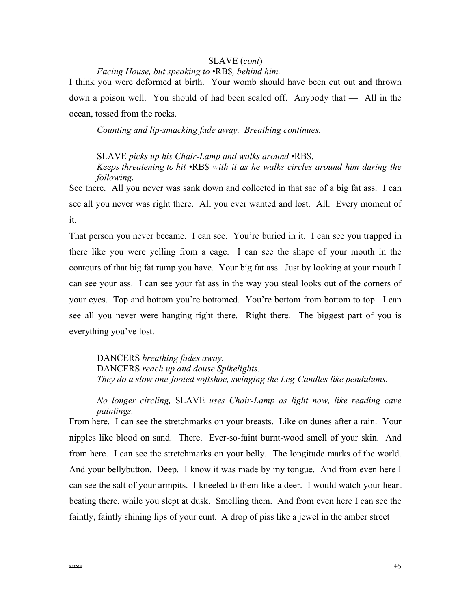# SLAVE (*cont*)

## *Facing House, but speaking to* •RB\$*, behind him.*

I think you were deformed at birth. Your womb should have been cut out and thrown down a poison well. You should of had been sealed off. Anybody that — All in the ocean, tossed from the rocks.

*Counting and lip-smacking fade away. Breathing continues.*

SLAVE *picks up his Chair-Lamp and walks around* •RB\$.

*Keeps threatening to hit* •RB\$ *with it as he walks circles around him during the following.*

See there. All you never was sank down and collected in that sac of a big fat ass. I can see all you never was right there. All you ever wanted and lost. All. Every moment of it.

That person you never became. I can see. You're buried in it. I can see you trapped in there like you were yelling from a cage. I can see the shape of your mouth in the contours of that big fat rump you have. Your big fat ass. Just by looking at your mouth I can see your ass. I can see your fat ass in the way you steal looks out of the corners of your eyes. Top and bottom you're bottomed. You're bottom from bottom to top. I can see all you never were hanging right there. Right there. The biggest part of you is everything you've lost.

DANCERS *breathing fades away.* DANCERS *reach up and douse Spikelights. They do a slow one-footed softshoe, swinging the Leg-Candles like pendulums.*

*No longer circling,* SLAVE *uses Chair-Lamp as light now, like reading cave paintings.*

From here. I can see the stretchmarks on your breasts. Like on dunes after a rain. Your nipples like blood on sand. There. Ever-so-faint burnt-wood smell of your skin. And from here. I can see the stretchmarks on your belly. The longitude marks of the world. And your bellybutton. Deep. I know it was made by my tongue. And from even here I can see the salt of your armpits. I kneeled to them like a deer. I would watch your heart beating there, while you slept at dusk. Smelling them. And from even here I can see the faintly, faintly shining lips of your cunt. A drop of piss like a jewel in the amber street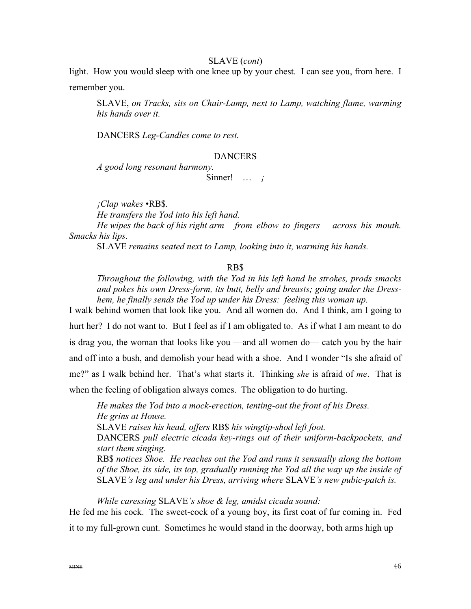# SLAVE (*cont*)

light. How you would sleep with one knee up by your chest. I can see you, from here. I remember you.

SLAVE, *on Tracks, sits on Chair-Lamp, next to Lamp, watching flame, warming his hands over it.*

DANCERS *Leg-Candles come to rest.*

## DANCERS

*A good long resonant harmony.*

Sinner! … *¡*

*¡Clap wakes* •RB\$*. He transfers the Yod into his left hand. He wipes the back of his right arm —from elbow to fingers— across his mouth. Smacks his lips.*

SLAVE *remains seated next to Lamp, looking into it, warming his hands.*

## RB\$

*Throughout the following, with the Yod in his left hand he strokes, prods smacks and pokes his own Dress-form, its butt, belly and breasts; going under the Dresshem, he finally sends the Yod up under his Dress: feeling this woman up.*

I walk behind women that look like you. And all women do. And I think, am I going to hurt her? I do not want to. But I feel as if I am obligated to. As if what I am meant to do is drag you, the woman that looks like you —and all women do— catch you by the hair and off into a bush, and demolish your head with a shoe. And I wonder "Is she afraid of me?" as I walk behind her. That's what starts it. Thinking *she* is afraid of *me*. That is when the feeling of obligation always comes. The obligation to do hurting.

*He makes the Yod into a mock-erection, tenting-out the front of his Dress. He grins at House.* SLAVE *raises his head, offers* RB\$ *his wingtip-shod left foot.* DANCERS *pull electric cicada key-rings out of their uniform-backpockets, and start them singing.*  RB\$ *notices Shoe. He reaches out the Yod and runs it sensually along the bottom of the Shoe, its side, its top, gradually running the Yod all the way up the inside of*  SLAVE*'s leg and under his Dress, arriving where* SLAVE*'s new pubic-patch is.*

*While caressing* SLAVE*'s shoe & leg, amidst cicada sound:* He fed me his cock. The sweet-cock of a young boy, its first coat of fur coming in. Fed it to my full-grown cunt. Sometimes he would stand in the doorway, both arms high up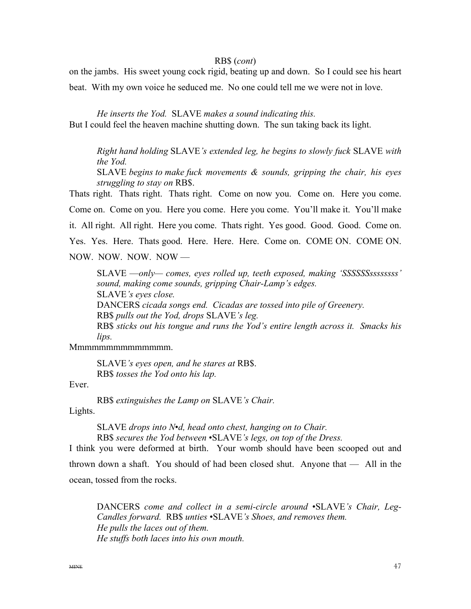on the jambs. His sweet young cock rigid, beating up and down. So I could see his heart beat. With my own voice he seduced me. No one could tell me we were not in love.

*He inserts the Yod.* SLAVE *makes a sound indicating this.*

But I could feel the heaven machine shutting down. The sun taking back its light.

*Right hand holding* SLAVE*'s extended leg, he begins to slowly fuck* SLAVE *with the Yod.* 

SLAVE *begins to make fuck movements & sounds, gripping the chair, his eyes struggling to stay on* RB\$.

Thats right. Thats right. Thats right. Come on now you. Come on. Here you come. Come on. Come on you. Here you come. Here you come. You'll make it. You'll make it. All right. All right. Here you come. Thats right. Yes good. Good. Good. Come on. Yes. Yes. Here. Thats good. Here. Here. Here. Come on. COME ON. COME ON. NOW. NOW. NOW. NOW —

SLAVE —*only— comes, eyes rolled up, teeth exposed, making 'SSSSSSssssssss' sound, making come sounds, gripping Chair-Lamp's edges.*  SLAVE*'s eyes close.* DANCERS *cicada songs end. Cicadas are tossed into pile of Greenery.* RB\$ *pulls out the Yod, drops* SLAVE*'s leg.* RB\$ *sticks out his tongue and runs the Yod's entire length across it. Smacks his lips.*

Mmmmmmmmmmmmmm.

SLAVE*'s eyes open, and he stares at* RB\$. RB\$ *tosses the Yod onto his lap.*

Ever.

RB\$ *extinguishes the Lamp on* SLAVE*'s Chair.* Lights.

SLAVE *drops into N*•*d, head onto chest, hanging on to Chair.* RB\$ *secures the Yod between* •SLAVE*'s legs, on top of the Dress.* I think you were deformed at birth. Your womb should have been scooped out and

thrown down a shaft. You should of had been closed shut. Anyone that — All in the ocean, tossed from the rocks.

DANCERS *come and collect in a semi-circle around* •SLAVE*'s Chair, Leg-Candles forward.* RB\$ *unties* •SLAVE*'s Shoes, and removes them. He pulls the laces out of them. He stuffs both laces into his own mouth.*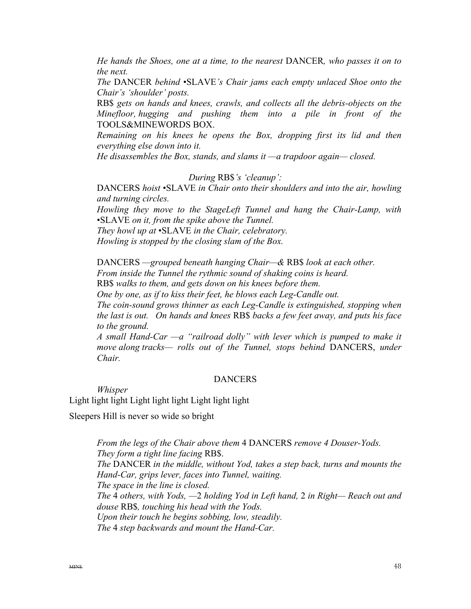*He hands the Shoes, one at a time, to the nearest* DANCER*, who passes it on to the next.* 

*The* DANCER *behind* •SLAVE*'s Chair jams each empty unlaced Shoe onto the Chair's 'shoulder' posts.*

RB\$ *gets on hands and knees, crawls, and collects all the debris-objects on the Minefloor, hugging and pushing them into a pile in front of the*  TOOLS&MINEWORDS BOX.

*Remaining on his knees he opens the Box, dropping first its lid and then everything else down into it.* 

*He disassembles the Box, stands, and slams it —a trapdoor again— closed.*

*During* RB\$*'s 'cleanup':*

DANCERS *hoist* •SLAVE *in Chair onto their shoulders and into the air, howling and turning circles.* 

*Howling they move to the StageLeft Tunnel and hang the Chair-Lamp, with*  •SLAVE *on it, from the spike above the Tunnel.* 

*They howl up at* •SLAVE *in the Chair, celebratory.*

*Howling is stopped by the closing slam of the Box.* 

DANCERS *—grouped beneath hanging Chair—&* RB\$ *look at each other. From inside the Tunnel the rythmic sound of shaking coins is heard.*  RB\$ *walks to them, and gets down on his knees before them.* 

*One by one, as if to kiss their feet, he blows each Leg-Candle out.* 

*The coin-sound grows thinner as each Leg-Candle is extinguished, stopping when the last is out. On hands and knees* RB\$ *backs a few feet away, and puts his face to the ground.* 

*A small Hand-Car —a "railroad dolly" with lever which is pumped to make it move along tracks— rolls out of the Tunnel, stops behind* DANCERS, *under Chair.* 

#### DANCERS

*Whisper*

Light light light Light light light Light light light

Sleepers Hill is never so wide so bright

*From the legs of the Chair above them* 4 DANCERS *remove 4 Douser-Yods. They form a tight line facing* RB\$. *The* DANCER *in the middle, without Yod, takes a step back, turns and mounts the Hand-Car, grips lever, faces into Tunnel, waiting. The space in the line is closed. The* 4 *others, with Yods, —*2 *holding Yod in Left hand,* 2 *in Right— Reach out and douse* RB\$*, touching his head with the Yods. Upon their touch he begins sobbing, low, steadily. The* 4 *step backwards and mount the Hand-Car.*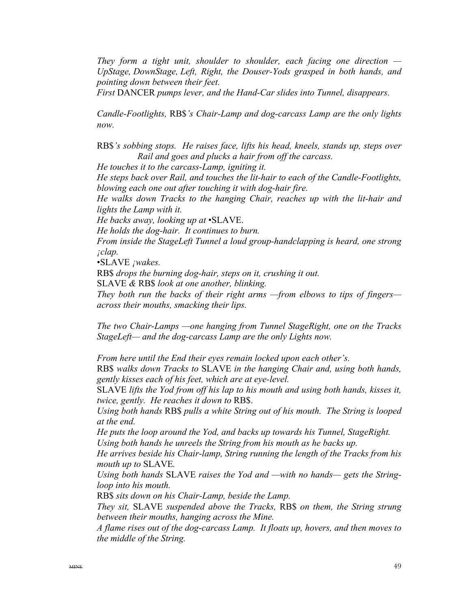*They form a tight unit, shoulder to shoulder, each facing one direction — UpStage, DownStage, Left, Right, the Douser-Yods grasped in both hands, and pointing down between their feet.*

*First* DANCER *pumps lever, and the Hand-Car slides into Tunnel, disappears.*

*Candle-Footlights,* RB\$*'s Chair-Lamp and dog-carcass Lamp are the only lights now.*

RB\$*'s sobbing stops. He raises face, lifts his head, kneels, stands up, steps over Rail and goes and plucks a hair from off the carcass.* 

*He touches it to the carcass-Lamp, igniting it.* 

*He steps back over Rail, and touches the lit-hair to each of the Candle-Footlights, blowing each one out after touching it with dog-hair fire.* 

*He walks down Tracks to the hanging Chair, reaches up with the lit-hair and lights the Lamp with it.* 

*He backs away, looking up at* •SLAVE.

*He holds the dog-hair. It continues to burn.* 

*From inside the StageLeft Tunnel a loud group-handclapping is heard, one strong ¡clap.* 

•SLAVE *¡wakes.*

RB\$ *drops the burning dog-hair, steps on it, crushing it out.*

SLAVE *&* RB\$ *look at one another, blinking.*

*They both run the backs of their right arms —from elbows to tips of fingers across their mouths, smacking their lips.* 

*The two Chair-Lamps —one hanging from Tunnel StageRight, one on the Tracks StageLeft— and the dog-carcass Lamp are the only Lights now.*

*From here until the End their eyes remain locked upon each other's.* RB\$ *walks down Tracks to* SLAVE *in the hanging Chair and, using both hands,* 

*gently kisses each of his feet, which are at eye-level.* 

SLAVE *lifts the Yod from off his lap to his mouth and using both hands, kisses it, twice, gently. He reaches it down to* RB\$.

*Using both hands* RB\$ *pulls a white String out of his mouth. The String is looped at the end.* 

*He puts the loop around the Yod, and backs up towards his Tunnel, StageRight. Using both hands he unreels the String from his mouth as he backs up.* 

*He arrives beside his Chair-lamp, String running the length of the Tracks from his mouth up to* SLAVE*.*

*Using both hands* SLAVE *raises the Yod and —with no hands— gets the Stringloop into his mouth.*

RB\$ *sits down on his Chair-Lamp, beside the Lamp.*

*They sit,* SLAVE *suspended above the Tracks,* RB\$ *on them, the String strung between their mouths, hanging across the Mine.*

*A flame rises out of the dog-carcass Lamp. It floats up, hovers, and then moves to the middle of the String.*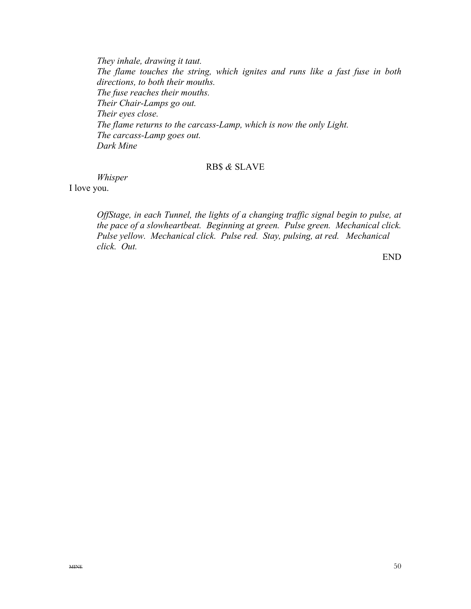*They inhale, drawing it taut. The flame touches the string, which ignites and runs like a fast fuse in both directions, to both their mouths. The fuse reaches their mouths. Their Chair-Lamps go out. Their eyes close. The flame returns to the carcass-Lamp, which is now the only Light. The carcass-Lamp goes out. Dark Mine*

# RB\$ *&* SLAVE

*Whisper*

I love you.

*OffStage, in each Tunnel, the lights of a changing traffic signal begin to pulse, at the pace of a slowheartbeat. Beginning at green. Pulse green. Mechanical click. Pulse yellow. Mechanical click. Pulse red. Stay, pulsing, at red. Mechanical click. Out.* 

END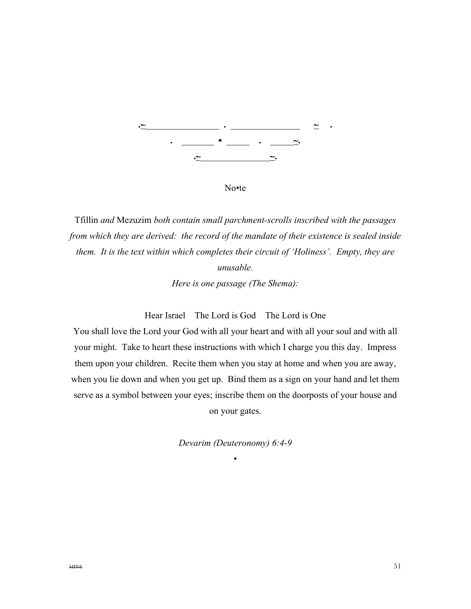

No•te

Tfillin *and* Mezuzim *both contain small parchment-scrolls inscribed with the passages from which they are derived: the record of the mandate of their existence is sealed inside them. It is the text within which completes their circuit of 'Holiness'. Empty, they are unusable.*

*Here is one passage (The Shema):*

Hear Israel The Lord is God The Lord is One

You shall love the Lord your God with all your heart and with all your soul and with all your might. Take to heart these instructions with which I charge you this day. Impress them upon your children. Recite them when you stay at home and when you are away, when you lie down and when you get up. Bind them as a sign on your hand and let them serve as a symbol between your eyes; inscribe them on the doorposts of your house and on your gates.

*Devarim (Deuteronomy) 6:4-9*

•